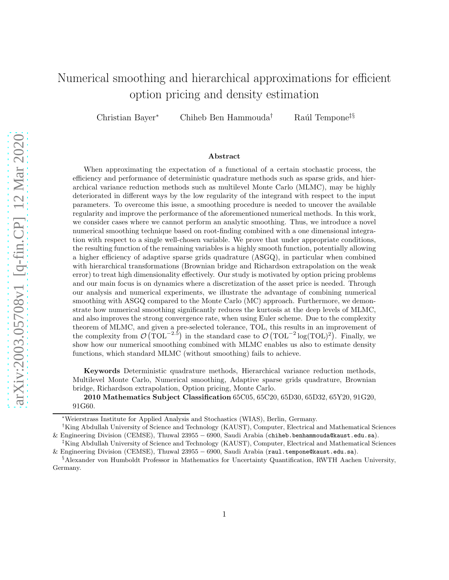# Numerical smoothing and hierarchical approximations for efficient option pricing and density estimation

Christian Bayer<sup>∗</sup> Chiheb Ben Hammouda<sup>†</sup> Raúl Tempone<sup>‡§</sup>

#### Abstract

When approximating the expectation of a functional of a certain stochastic process, the efficiency and performance of deterministic quadrature methods such as sparse grids, and hierarchical variance reduction methods such as multilevel Monte Carlo (MLMC), may be highly deteriorated in different ways by the low regularity of the integrand with respect to the input parameters. To overcome this issue, a smoothing procedure is needed to uncover the available regularity and improve the performance of the aforementioned numerical methods. In this work, we consider cases where we cannot perform an analytic smoothing. Thus, we introduce a novel numerical smoothing technique based on root-finding combined with a one dimensional integration with respect to a single well-chosen variable. We prove that under appropriate conditions, the resulting function of the remaining variables is a highly smooth function, potentially allowing a higher efficiency of adaptive sparse grids quadrature (ASGQ), in particular when combined with hierarchical transformations (Brownian bridge and Richardson extrapolation on the weak error) to treat high dimensionality effectively. Our study is motivated by option pricing problems and our main focus is on dynamics where a discretization of the asset price is needed. Through our analysis and numerical experiments, we illustrate the advantage of combining numerical smoothing with ASGQ compared to the Monte Carlo (MC) approach. Furthermore, we demonstrate how numerical smoothing significantly reduces the kurtosis at the deep levels of MLMC, and also improves the strong convergence rate, when using Euler scheme. Due to the complexity theorem of MLMC, and given a pre-selected tolerance, TOL, this results in an improvement of the complexity from  $\mathcal{O}(\text{TOL}^{-2.5})$  in the standard case to  $\mathcal{O}(\text{TOL}^{-2}\log(\text{TOL})^2)$ . Finally, we show how our numerical smoothing combined with MLMC enables us also to estimate density functions, which standard MLMC (without smoothing) fails to achieve.

Keywords Deterministic quadrature methods, Hierarchical variance reduction methods, Multilevel Monte Carlo, Numerical smoothing, Adaptive sparse grids quadrature, Brownian bridge, Richardson extrapolation, Option pricing, Monte Carlo.

2010 Mathematics Subject Classification 65C05, 65C20, 65D30, 65D32, 65Y20, 91G20, 91G60.

<sup>∗</sup>Weierstrass Institute for Applied Analysis and Stochastics (WIAS), Berlin, Germany.

<sup>†</sup>King Abdullah University of Science and Technology (KAUST), Computer, Electrical and Mathematical Sciences & Engineering Division (CEMSE), Thuwal 23955 − 6900, Saudi Arabia (chiheb.benhammouda@kaust.edu.sa).

<sup>‡</sup>King Abdullah University of Science and Technology (KAUST), Computer, Electrical and Mathematical Sciences & Engineering Division (CEMSE), Thuwal 23955 − 6900, Saudi Arabia (raul.tempone@kaust.edu.sa).

<sup>§</sup>Alexander von Humboldt Professor in Mathematics for Uncertainty Quantification, RWTH Aachen University, Germany.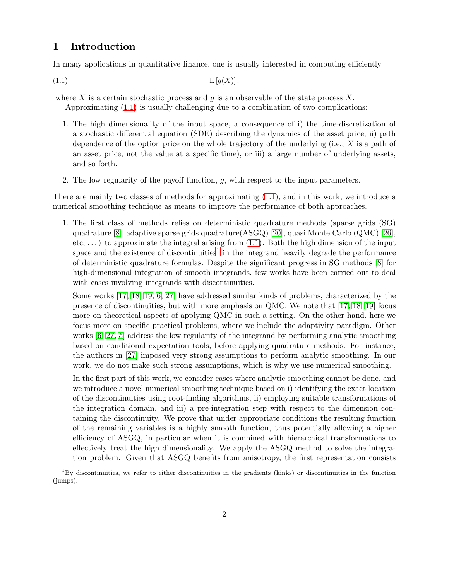# 1 Introduction

In many applications in quantitative finance, one is usually interested in computing efficiently

(1.1)  $E[g(X)],$ 

where X is a certain stochastic process and q is an observable of the state process X. Approximating [\(1.1\)](#page-1-0) is usually challenging due to a combination of two complications:

- <span id="page-1-0"></span>1. The high dimensionality of the input space, a consequence of i) the time-discretization of a stochastic differential equation (SDE) describing the dynamics of the asset price, ii) path dependence of the option price on the whole trajectory of the underlying (i.e., X is a path of an asset price, not the value at a specific time), or iii) a large number of underlying assets, and so forth.
- 2. The low regularity of the payoff function, g, with respect to the input parameters.

There are mainly two classes of methods for approximating [\(1.1\)](#page-1-0), and in this work, we introduce a numerical smoothing technique as means to improve the performance of both approaches.

1. The first class of methods relies on deterministic quadrature methods (sparse grids (SG) quadrature [\[8\]](#page-32-0), adaptive sparse grids quadrature(ASGQ) [\[20\]](#page-33-0), quasi Monte Carlo (QMC) [\[26\]](#page-33-1), etc,  $\dots$ ) to approximate the integral arising from  $(1.1)$ . Both the high dimension of the input space and the existence of discontinuities<sup>[1](#page-1-1)</sup> in the integrand heavily degrade the performance of deterministic quadrature formulas. Despite the significant progress in SG methods [\[8\]](#page-32-0) for high-dimensional integration of smooth integrands, few works have been carried out to deal with cases involving integrands with discontinuities.

Some works [\[17,](#page-33-2) [18,](#page-33-3) [19,](#page-33-4) [6,](#page-32-1) [27\]](#page-33-5) have addressed similar kinds of problems, characterized by the presence of discontinuities, but with more emphasis on QMC. We note that [\[17,](#page-33-2) [18,](#page-33-3) [19\]](#page-33-4) focus more on theoretical aspects of applying QMC in such a setting. On the other hand, here we focus more on specific practical problems, where we include the adaptivity paradigm. Other works [\[6,](#page-32-1) [27,](#page-33-5) [5\]](#page-32-2) address the low regularity of the integrand by performing analytic smoothing based on conditional expectation tools, before applying quadrature methods. For instance, the authors in [\[27\]](#page-33-5) imposed very strong assumptions to perform analytic smoothing. In our work, we do not make such strong assumptions, which is why we use numerical smoothing.

In the first part of this work, we consider cases where analytic smoothing cannot be done, and we introduce a novel numerical smoothing technique based on i) identifying the exact location of the discontinuities using root-finding algorithms, ii) employing suitable transformations of the integration domain, and iii) a pre-integration step with respect to the dimension containing the discontinuity. We prove that under appropriate conditions the resulting function of the remaining variables is a highly smooth function, thus potentially allowing a higher efficiency of ASGQ, in particular when it is combined with hierarchical transformations to effectively treat the high dimensionality. We apply the ASGQ method to solve the integration problem. Given that ASGQ benefits from anisotropy, the first representation consists

<span id="page-1-1"></span><sup>1</sup>By discontinuities, we refer to either discontinuities in the gradients (kinks) or discontinuities in the function (jumps).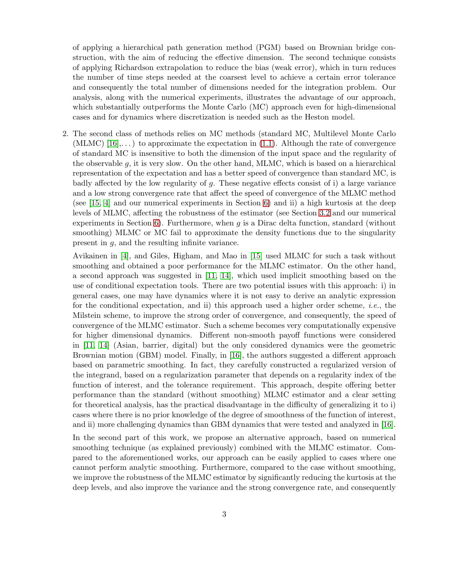of applying a hierarchical path generation method (PGM) based on Brownian bridge construction, with the aim of reducing the effective dimension. The second technique consists of applying Richardson extrapolation to reduce the bias (weak error), which in turn reduces the number of time steps needed at the coarsest level to achieve a certain error tolerance and consequently the total number of dimensions needed for the integration problem. Our analysis, along with the numerical experiments, illustrates the advantage of our approach, which substantially outperforms the Monte Carlo (MC) approach even for high-dimensional cases and for dynamics where discretization is needed such as the Heston model.

2. The second class of methods relies on MC methods (standard MC, Multilevel Monte Carlo (MLMC)  $[16], \ldots$ ) to approximate the expectation in [\(1.1\)](#page-1-0). Although the rate of convergence of standard MC is insensitive to both the dimension of the input space and the regularity of the observable g, it is very slow. On the other hand, MLMC, which is based on a hierarchical representation of the expectation and has a better speed of convergence than standard MC, is badly affected by the low regularity of q. These negative effects consist of i) a large variance and a low strong convergence rate that affect the speed of convergence of the MLMC method (see [\[15,](#page-33-7) [4\]](#page-32-3) and our numerical experiments in Section [6\)](#page-24-0) and ii) a high kurtosis at the deep levels of MLMC, affecting the robustness of the estimator (see Section [3.2](#page-9-0) and our numerical experiments in Section [6\)](#page-24-0). Furthermore, when  $q$  is a Dirac delta function, standard (without smoothing) MLMC or MC fail to approximate the density functions due to the singularity present in g, and the resulting infinite variance.

Avikainen in [\[4\]](#page-32-3), and Giles, Higham, and Mao in [\[15\]](#page-33-7) used MLMC for such a task without smoothing and obtained a poor performance for the MLMC estimator. On the other hand, a second approach was suggested in [\[11,](#page-32-4) [14\]](#page-33-8), which used implicit smoothing based on the use of conditional expectation tools. There are two potential issues with this approach: i) in general cases, one may have dynamics where it is not easy to derive an analytic expression for the conditional expectation, and ii) this approach used a higher order scheme, *i.e.*, the Milstein scheme, to improve the strong order of convergence, and consequently, the speed of convergence of the MLMC estimator. Such a scheme becomes very computationally expensive for higher dimensional dynamics. Different non-smooth payoff functions were considered in [\[11,](#page-32-4) [14\]](#page-33-8) (Asian, barrier, digital) but the only considered dynamics were the geometric Brownian motion (GBM) model. Finally, in [\[16\]](#page-33-6), the authors suggested a different approach based on parametric smoothing. In fact, they carefully constructed a regularized version of the integrand, based on a regularization parameter that depends on a regularity index of the function of interest, and the tolerance requirement. This approach, despite offering better performance than the standard (without smoothing) MLMC estimator and a clear setting for theoretical analysis, has the practical disadvantage in the difficulty of generalizing it to i) cases where there is no prior knowledge of the degree of smoothness of the function of interest, and ii) more challenging dynamics than GBM dynamics that were tested and analyzed in [\[16\]](#page-33-6).

In the second part of this work, we propose an alternative approach, based on numerical smoothing technique (as explained previously) combined with the MLMC estimator. Compared to the aforementioned works, our approach can be easily applied to cases where one cannot perform analytic smoothing. Furthermore, compared to the case without smoothing, we improve the robustness of the MLMC estimator by significantly reducing the kurtosis at the deep levels, and also improve the variance and the strong convergence rate, and consequently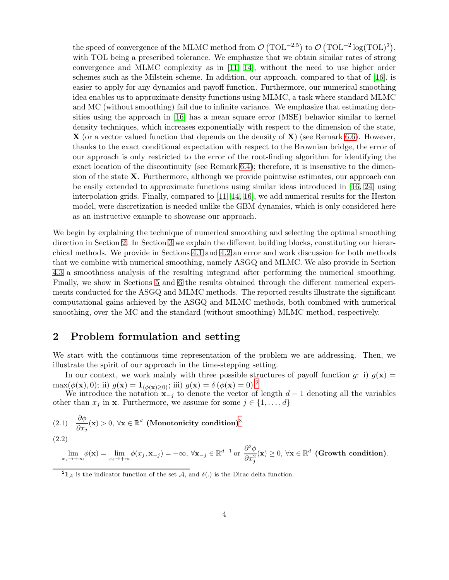the speed of convergence of the MLMC method from  $\mathcal{O}(\text{TOL}^{-2.5})$  to  $\mathcal{O}(\text{TOL}^{-2} \log(\text{TOL})^2)$ , with TOL being a prescribed tolerance. We emphasize that we obtain similar rates of strong convergence and MLMC complexity as in [\[11,](#page-32-4) [14\]](#page-33-8), without the need to use higher order schemes such as the Milstein scheme. In addition, our approach, compared to that of [\[16\]](#page-33-6), is easier to apply for any dynamics and payoff function. Furthermore, our numerical smoothing idea enables us to approximate density functions using MLMC, a task where standard MLMC and MC (without smoothing) fail due to infinite variance. We emphasize that estimating densities using the approach in [\[16\]](#page-33-6) has a mean square error (MSE) behavior similar to kernel density techniques, which increases exponentially with respect to the dimension of the state,  $\bf{X}$  (or a vector valued function that depends on the density of  $\bf{X}$ ) (see Remark [6.6\)](#page-31-0). However, thanks to the exact conditional expectation with respect to the Brownian bridge, the error of our approach is only restricted to the error of the root-finding algorithm for identifying the exact location of the discontinuity (see Remark [6.4\)](#page-29-0); therefore, it is insensitive to the dimension of the state X. Furthermore, although we provide pointwise estimates, our approach can be easily extended to approximate functions using similar ideas introduced in [\[16,](#page-33-6) [24\]](#page-33-9) using interpolation grids. Finally, compared to [\[11,](#page-32-4) [14,](#page-33-8) [16\]](#page-33-6), we add numerical results for the Heston model, were discretization is needed unlike the GBM dynamics, which is only considered here as an instructive example to showcase our approach.

We begin by explaining the technique of numerical smoothing and selecting the optimal smoothing direction in Section [2.](#page-3-0) In Section [3](#page-8-0) we explain the different building blocks, constituting our hierarchical methods. We provide in Sections [4.1](#page-11-0) and [4.2](#page-13-0) an error and work discussion for both methods that we combine with numerical smoothing, namely ASGQ and MLMC. We also provide in Section [4.3](#page-14-0) a smoothness analysis of the resulting integrand after performing the numerical smoothing. Finally, we show in Sections [5](#page-17-0) and [6](#page-24-0) the results obtained through the different numerical experiments conducted for the ASGQ and MLMC methods. The reported results illustrate the significant computational gains achieved by the ASGQ and MLMC methods, both combined with numerical smoothing, over the MC and the standard (without smoothing) MLMC method, respectively.

# <span id="page-3-0"></span>2 Problem formulation and setting

We start with the continuous time representation of the problem we are addressing. Then, we illustrate the spirit of our approach in the time-stepping setting.

In our context, we work mainly with three possible structures of payoff function g: i)  $g(x) =$ max( $\phi(\mathbf{x}), 0$ ); ii)  $g(\mathbf{x}) = \mathbf{1}_{(\phi(\mathbf{x}) > 0)}$ ; iii)  $g(\mathbf{x}) = \delta(\phi(\mathbf{x}) = 0).^2$  $g(\mathbf{x}) = \delta(\phi(\mathbf{x}) = 0).^2$ 

We introduce the notation  $x_{-j}$  to denote the vector of length  $d-1$  denoting all the variables other than  $x_j$  in **x**. Furthermore, we assume for some  $j \in \{1, \ldots, d\}$ 

<span id="page-3-2"></span>(2.1) 
$$
\frac{\partial \phi}{\partial x_j}(\mathbf{x}) > 0, \forall \mathbf{x} \in \mathbb{R}^d
$$
 (Monotonicity condition)<sup>3</sup>  
(2.2)

<span id="page-3-3"></span>
$$
\lim_{x_j \to +\infty} \phi(\mathbf{x}) = \lim_{x_j \to +\infty} \phi(x_j, \mathbf{x}_{-j}) = +\infty, \ \forall \mathbf{x}_{-j} \in \mathbb{R}^{d-1} \text{ or } \ \frac{\partial^2 \phi}{\partial x_j^2}(\mathbf{x}) \ge 0, \ \forall \mathbf{x} \in \mathbb{R}^d \ \text{(Growth condition)}.
$$

<span id="page-3-1"></span><sup>&</sup>lt;sup>2</sup> $1_A$  is the indicator function of the set A, and  $\delta(.)$  is the Dirac delta function.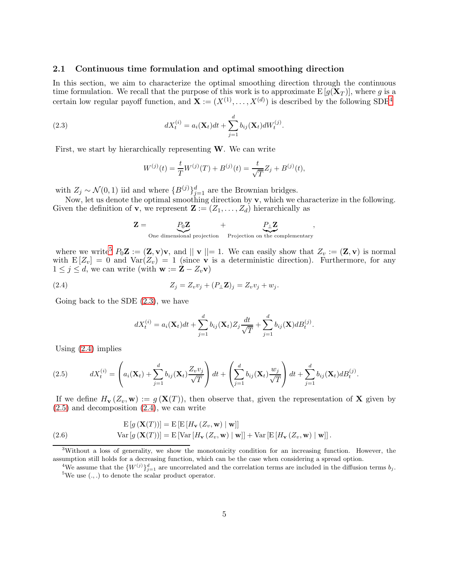#### <span id="page-4-7"></span>2.1 Continuous time formulation and optimal smoothing direction

In this section, we aim to characterize the optimal smoothing direction through the continuous time formulation. We recall that the purpose of this work is to approximate  $E[g(X_T)]$ , where g is a certain low regular payoff function, and  $\mathbf{X} := (X^{(1)}, \dots, X^{(d)})$  is described by the following SDE<sup>[4](#page-4-1)</sup>

(2.3) 
$$
dX_t^{(i)} = a_i(\mathbf{X}_t)dt + \sum_{j=1}^d b_{ij}(\mathbf{X}_t)dW_t^{(j)}.
$$

First, we start by hierarchically representing  $W$ . We can write

<span id="page-4-3"></span>
$$
W^{(j)}(t) = \frac{t}{T}W^{(j)}(T) + B^{(j)}(t) = \frac{t}{\sqrt{T}}Z_j + B^{(j)}(t),
$$

with  $Z_j \sim \mathcal{N}(0, 1)$  iid and where  $\{B^{(j)}\}_{j=1}^d$  are the Brownian bridges.

Now, let us denote the optimal smoothing direction by v, which we characterize in the following. Given the definition of **v**, we represent  $\mathbf{Z} := (Z_1, \ldots, Z_d)$  hierarchically as

$$
\mathbf{Z} = \underbrace{P_0 \mathbf{Z}}_{\text{One dimensional projection}} + \underbrace{P_\perp \mathbf{Z}}_{\text{Projection on the complementary}}
$$

,

where we write<sup>[5](#page-4-2)</sup>  $P_0\mathbf{Z} := (\mathbf{Z}, \mathbf{v})\mathbf{v}$ , and  $\|\mathbf{v}\| = 1$ . We can easily show that  $Z_v := (\mathbf{Z}, \mathbf{v})$  is normal with  $E[Z_v] = 0$  and  $Var(Z_v) = 1$  (since **v** is a deterministic direction). Furthermore, for any  $1 \leq j \leq d$ , we can write (with  $\mathbf{w} := \mathbf{Z} - Z_v \mathbf{v}$ )

$$
(2.4) \t\t Z_j = Z_v v_j + (P_\perp \mathbf{Z})_j = Z_v v_j + w_j.
$$

Going back to the SDE [\(2.3\)](#page-4-3), we have

<span id="page-4-4"></span>
$$
dX_t^{(i)} = a_i(\mathbf{X}_t)dt + \sum_{j=1}^d b_{ij}(\mathbf{X}_t)Z_j \frac{dt}{\sqrt{T}} + \sum_{j=1}^d b_{ij}(\mathbf{X})dB_t^{(j)}.
$$

Using [\(2.4\)](#page-4-4) implies

<span id="page-4-5"></span>(2.5) 
$$
dX_t^{(i)} = \left(a_i(\mathbf{X}_t) + \sum_{j=1}^d b_{ij}(\mathbf{X}_t) \frac{Z_v v_j}{\sqrt{T}}\right) dt + \left(\sum_{j=1}^d b_{ij}(\mathbf{X}_t) \frac{w_j}{\sqrt{T}}\right) dt + \sum_{j=1}^d b_{ij}(\mathbf{X}_t) dB_t^{(j)}.
$$

If we define  $H_{\mathbf{v}}(Z_v, \mathbf{w}) := g(\mathbf{X}(T))$ , then observe that, given the representation of **X** given by  $(2.5)$  and decomposition  $(2.4)$ , we can write

<span id="page-4-6"></span>(2.6) 
$$
\mathrm{E}\left[g\left(\mathbf{X}(T)\right)\right] = \mathrm{E}\left[\mathrm{E}\left[H_{\mathbf{v}}\left(Z_v, \mathbf{w}\right) \mid \mathbf{w}\right]\right] \mathrm{Var}\left[g\left(\mathbf{X}(T)\right)\right] = \mathrm{E}\left[\mathrm{Var}\left[H_{\mathbf{v}}\left(Z_v, \mathbf{w}\right) \mid \mathbf{w}\right]\right] + \mathrm{Var}\left[\mathrm{E}\left[H_{\mathbf{v}}\left(Z_v, \mathbf{w}\right) \mid \mathbf{w}\right]\right].
$$

<sup>3</sup>Without a loss of generality, we show the monotonicity condition for an increasing function. However, the assumption still holds for a decreasing function, which can be the case when considering a spread option.

<span id="page-4-2"></span><span id="page-4-1"></span><span id="page-4-0"></span><sup>&</sup>lt;sup>4</sup>We assume that the  $\{W^{(j)}\}_{j=1}^d$  are uncorrelated and the correlation terms are included in the diffusion terms  $b_j$ .  $5$ We use  $(.,.)$  to denote the scalar product operator.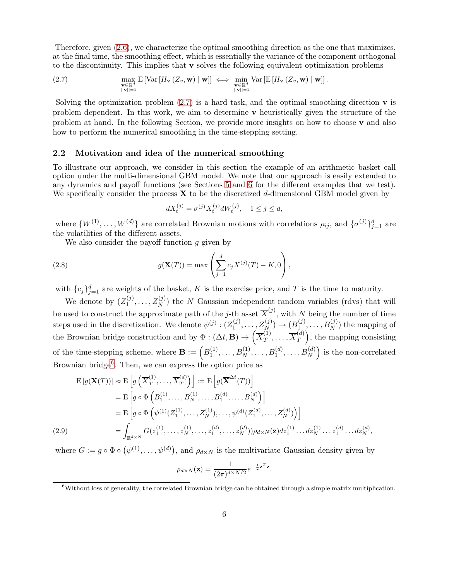Therefore, given [\(2.6\)](#page-4-6), we characterize the optimal smoothing direction as the one that maximizes, at the final time, the smoothing effect, which is essentially the variance of the component orthogonal to the discontinuity. This implies that  $\bf{v}$  solves the following equivalent optimization problems

<span id="page-5-0"></span>(2.7) 
$$
\max_{\substack{\mathbf{v}\in\mathbb{R}^d\\||\mathbf{v}||=1}}\mathrm{E}\left[\mathrm{Var}\left[H_{\mathbf{v}}\left(Z_v,\mathbf{w}\right)\mid\mathbf{w}\right]\right] \iff \min_{\substack{\mathbf{v}\in\mathbb{R}^d\\||\mathbf{v}||=1}}\mathrm{Var}\left[\mathrm{E}\left[H_{\mathbf{v}}\left(Z_v,\mathbf{w}\right)\mid\mathbf{w}\right]\right].
$$

Solving the optimization problem  $(2.7)$  is a hard task, and the optimal smoothing direction **v** is problem dependent. In this work, we aim to determine  $\bf{v}$  heuristically given the structure of the problem at hand. In the following Section, we provide more insights on how to choose v and also how to perform the numerical smoothing in the time-stepping setting.

#### <span id="page-5-4"></span>2.2 Motivation and idea of the numerical smoothing

To illustrate our approach, we consider in this section the example of an arithmetic basket call option under the multi-dimensional GBM model. We note that our approach is easily extended to any dynamics and payoff functions (see Sections [5](#page-17-0) and [6](#page-24-0) for the different examples that we test). We specifically consider the process  $X$  to be the discretized d-dimensional GBM model given by

<span id="page-5-2"></span>
$$
dX_t^{(j)} = \sigma^{(j)} X_t^{(j)} dW_t^{(j)}, \quad 1 \le j \le d,
$$

where  $\{W^{(1)}, \ldots, W^{(d)}\}$  are correlated Brownian motions with correlations  $\rho_{ij}$ , and  $\{\sigma^{(j)}\}_{j=1}^d$  are the volatilities of the different assets.

We also consider the payoff function  $q$  given by

(2.8) 
$$
g(\mathbf{X}(T)) = \max \left( \sum_{j=1}^{d} c_j X^{(j)}(T) - K, 0 \right),
$$

with  ${c_j}_{j=1}^d$  are weights of the basket, K is the exercise price, and T is the time to maturity.

We denote by  $(Z_1^{(j)}$  $I_1^{(j)}, \ldots, Z_N^{(j)}$  the N Gaussian independent random variables (rdvs) that will be used to construct the approximate path of the j-th asset  $\overline{X}^{(j)}$ , with N being the number of time steps used in the discretization. We denote  $\psi^{(j)}$  :  $(Z_1^{(j)})$  $\{A_1^{(j)},\ldots,A_N^{(j)}\}\to(B_{1_N}^{(j)})$  $\mathcal{A}_1^{(j)}, \ldots, \mathcal{B}_N^{(j)}$  the mapping of the Brownian bridge construction and by  $\Phi : (\Delta t, \mathbf{B}) \to \left(\overline{X}_T^{(1)}\right)$  $T^{(1)},\ldots,\overline{X}_T^{(d)}$ T ), the mapping consisting of the time-stepping scheme, where  $\mathbf{B} := \left( B_1^{(1)} \right)$  $1^{(1)}, \ldots, B_N^{(1)}, \ldots, B_1^{(d)}, \ldots, B_N^{(d)}$ ) is the non-correlated Brownian bridge<sup>[6](#page-5-1)</sup>. Then, we can express the option price as

$$
E[g(\mathbf{X}(T))] \approx E\left[g\left(\overline{X}_T^{(1)},\ldots,\overline{X}_T^{(d)}\right)\right] := E\left[g(\overline{\mathbf{X}}^{\Delta t}(T))\right]
$$
  
\n
$$
= E\left[g \circ \Phi\left(B_1^{(1)},\ldots,B_N^{(1)},\ldots,B_1^{(d)},\ldots,B_N^{(d)}\right)\right]
$$
  
\n
$$
= E\left[g \circ \Phi\left(\psi^{(1)}(Z_1^{(1)},\ldots,Z_N^{(1)}),\ldots,\psi^{(d)}(Z_1^{(d)},\ldots,Z_N^{(d)})\right)\right]
$$
  
\n(2.9) 
$$
= \int_{\mathbb{R}^{d \times N}} G(z_1^{(1)},\ldots,z_N^{(1)},\ldots,z_1^{(d)},\ldots,z_N^{(d)}) \rho_{d \times N}(\mathbf{z}) dz_1^{(1)}\ldots dz_N^{(1)}\ldots dz_N^{(d)},
$$

<span id="page-5-3"></span>where  $G := g \circ \Phi \circ (\psi^{(1)}, \dots, \psi^{(d)})$ , and  $\rho_{d \times N}$  is the multivariate Gaussian density given by

$$
\rho_{d\times N}(\mathbf{z}) = \frac{1}{(2\pi)^{d\times N/2}} e^{-\frac{1}{2}\mathbf{z}^T\mathbf{z}}.
$$

<span id="page-5-1"></span> $6W$ ithout loss of generality, the correlated Brownian bridge can be obtained through a simple matrix multiplication.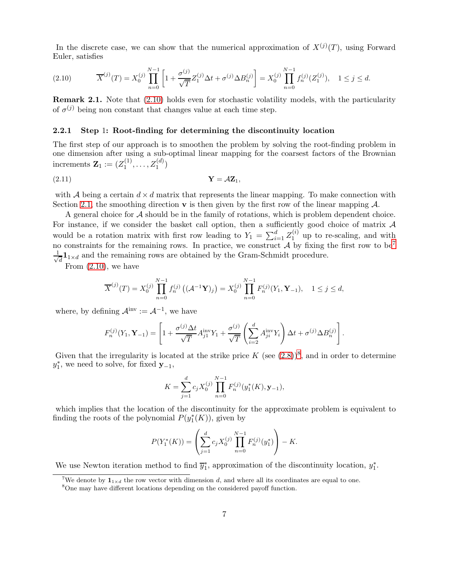In the discrete case, we can show that the numerical approximation of  $X^{(j)}(T)$ , using Forward Euler, satisfies

<span id="page-6-0"></span>
$$
(2.10) \t\t \overline{X}^{(j)}(T) = X_0^{(j)} \prod_{n=0}^{N-1} \left[ 1 + \frac{\sigma^{(j)}}{\sqrt{T}} Z_1^{(j)} \Delta t + \sigma^{(j)} \Delta B_n^{(j)} \right] = X_0^{(j)} \prod_{n=0}^{N-1} f_n^{(j)}(Z_1^{(j)}), \quad 1 \le j \le d.
$$

Remark 2.1. Note that [\(2.10\)](#page-6-0) holds even for stochastic volatility models, with the particularity of  $\sigma^{(j)}$  being non constant that changes value at each time step.

#### <span id="page-6-3"></span>2.2.1 Step 1: Root-finding for determining the discontinuity location

The first step of our approach is to smoothen the problem by solving the root-finding problem in one dimension after using a sub-optimal linear mapping for the coarsest factors of the Brownian increments  $\mathbf{Z}_1 := (Z_1^{(1)}$  $\{z_1^{(1)}, \ldots, z_1^{(d)}\}$ 

$$
Y = \mathcal{A}Z_1,
$$
 (2.11)

with A being a certain  $d \times d$  matrix that represents the linear mapping. To make connection with Section [2.1,](#page-4-7) the smoothing direction  $\bf{v}$  is then given by the first row of the linear mapping  $\cal{A}$ .

A general choice for A should be in the family of rotations, which is problem dependent choice. For instance, if we consider the basket call option, then a sufficiently good choice of matrix  $\mathcal A$ would be a rotation matrix with first row leading to  $Y_1 = \sum_{i=1}^d Z_1^{(i)}$  $1^{(i)}$  up to re-scaling, and with no constraints for the remaining rows. In practice, we construct  $\mathcal A$  by fixing the first row to be<sup>[7](#page-6-1)</sup> √ 1  $\frac{1}{d}$ 1<sub>1×d</sub> and the remaining rows are obtained by the Gram-Schmidt procedure.

From [\(2.10\)](#page-6-0), we have

<span id="page-6-4"></span>
$$
\overline{X}^{(j)}(T) = X_0^{(j)} \prod_{n=0}^{N-1} f_n^{(j)} \left( (\mathcal{A}^{-1} \mathbf{Y})_j \right) = X_0^{(j)} \prod_{n=0}^{N-1} F_n^{(j)}(Y_1, \mathbf{Y}_{-1}), \quad 1 \le j \le d,
$$

where, by defining  $\mathcal{A}^{\text{inv}} := \mathcal{A}^{-1}$ , we have

$$
F_n^{(j)}(Y_1, \mathbf{Y}_{-1}) = \left[1 + \frac{\sigma^{(j)} \Delta t}{\sqrt{T}} A_{j1}^{\text{inv}} Y_1 + \frac{\sigma^{(j)}}{\sqrt{T}} \left(\sum_{i=2}^d A_{ji}^{\text{inv}} Y_i\right) \Delta t + \sigma^{(j)} \Delta B_n^{(j)}\right].
$$

Given that the irregularity is located at the strike price  $K$  (see  $(2.8)^8$  $(2.8)^8$  $(2.8)^8$ , and in order to determine  $y_1^*$ , we need to solve, for fixed  $y_{-1}$ ,

$$
K = \sum_{j=1}^{d} c_j X_0^{(j)} \prod_{n=0}^{N-1} F_n^{(j)}(y_1^*(K), \mathbf{y}_{-1}),
$$

which implies that the location of the discontinuity for the approximate problem is equivalent to finding the roots of the polynomial  $P(y_1^*(K))$ , given by

$$
P(Y_1^*(K)) = \left(\sum_{j=1}^d c_j X_0^{(j)} \prod_{n=0}^{N-1} F_n^{(j)}(y_1^*)\right) - K.
$$

We use Newton iteration method to find  $\overline{y}_1^*$ , approximation of the discontinuity location,  $y_1^*$ .

<sup>&</sup>lt;sup>7</sup>We denote by  $\mathbf{1}_{1\times d}$  the row vector with dimension d, and where all its coordinates are equal to one.

<span id="page-6-2"></span><span id="page-6-1"></span><sup>8</sup>One may have different locations depending on the considered payoff function.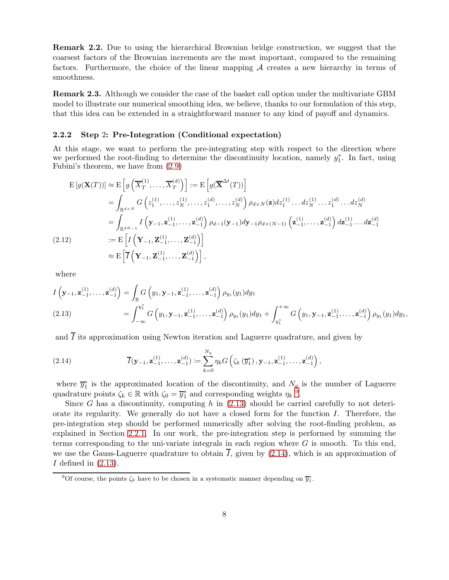Remark 2.2. Due to using the hierarchical Brownian bridge construction, we suggest that the coarsest factors of the Brownian increments are the most important, compared to the remaining factors. Furthermore, the choice of the linear mapping  $A$  creates a new hierarchy in terms of smoothness.

Remark 2.3. Although we consider the case of the basket call option under the multivariate GBM model to illustrate our numerical smoothing idea, we believe, thanks to our formulation of this step, that this idea can be extended in a straightforward manner to any kind of payoff and dynamics.

#### <span id="page-7-4"></span>2.2.2 Step 2: Pre-Integration (Conditional expectation)

At this stage, we want to perform the pre-integrating step with respect to the direction where we performed the root-finding to determine the discontinuity location, namely  $y_1^*$ . In fact, using Fubini's theorem, we have from [\(2.9\)](#page-5-3)

$$
E[g(\mathbf{X}(T))] \approx E\left[g\left(\overline{X}_{T}^{(1)},\ldots,\overline{X}_{T}^{(d)}\right)\right] := E\left[g(\overline{\mathbf{X}}^{\Delta t}(T))\right]
$$
  
\n
$$
= \int_{\mathbb{R}^{d\times N}} G\left(z_{1}^{(1)},\ldots,z_{N}^{(1)},\ldots,z_{1}^{(d)},\ldots,z_{N}^{(d)}\right) \rho_{d\times N}(\mathbf{z}) dz_{1}^{(1)}\ldots dz_{N}^{(1)}\ldots z_{1}^{(d)}\ldots dz_{N}^{(d)}
$$
  
\n
$$
= \int_{\mathbb{R}^{d\times n}} I\left(\mathbf{y}_{-1},\mathbf{z}_{-1}^{(1)},\ldots,\mathbf{z}_{-1}^{(d)}\right) \rho_{d-1}(\mathbf{y}_{-1}) d\mathbf{y}_{-1} \rho_{d\times (N-1)}\left(\mathbf{z}_{-1}^{(1)},\ldots,\mathbf{z}_{-1}^{(d)}\right) dz_{-1}^{(1)}\ldots dz_{-1}^{(d)}
$$
  
\n(2.12)  
\n
$$
\approx E\left[I\left(\mathbf{Y}_{-1},\mathbf{Z}_{-1}^{(1)},\ldots,\mathbf{Z}_{-1}^{(d)}\right)\right],
$$

<span id="page-7-3"></span>where

<span id="page-7-1"></span>
$$
I\left(\mathbf{y}_{-1},\mathbf{z}_{-1}^{(1)},\ldots,\mathbf{z}_{-1}^{(d)}\right) = \int_{\mathbb{R}} G\left(y_1,\mathbf{y}_{-1},\mathbf{z}_{-1}^{(1)},\ldots,\mathbf{z}_{-1}^{(d)}\right) \rho_{y_1}(y_1) dy_1
$$
\n
$$
(2.13) \qquad \qquad = \int_{-\infty}^{y_1^*} G\left(y_1,\mathbf{y}_{-1},\mathbf{z}_{-1}^{(1)},\ldots,\mathbf{z}_{-1}^{(d)}\right) \rho_{y_1}(y_1) dy_1 + \int_{y_1^*}^{+\infty} G\left(y_1,\mathbf{y}_{-1},\mathbf{z}_{-1}^{(1)},\ldots,\mathbf{z}_{-1}^{(d)}\right) \rho_{y_1}(y_1) dy_1,
$$

and  $\overline{I}$  its approximation using Newton iteration and Laguerre quadrature, and given by

<span id="page-7-2"></span>(2.14) 
$$
\overline{I}(\mathbf{y}_{-1}, \mathbf{z}_{-1}^{(1)}, \dots, \mathbf{z}_{-1}^{(d)}) \coloneqq \sum_{k=0}^{N_q} \eta_k G\left(\zeta_k\left(\overline{y}_1^*\right), \mathbf{y}_{-1}, \mathbf{z}_{-1}^{(1)}, \dots, \mathbf{z}_{-1}^{(d)}\right),
$$

where  $\overline{y}_1^*$  is the approximated location of the discontinuity, and  $N_q$  is the number of Laguerre quadrature points  $\zeta_k \in \mathbb{R}$  with  $\zeta_0 = \overline{y}_1^*$  and corresponding weights  $\eta_k$ <sup> $\hat{9}$  $\hat{9}$  $\hat{9}$ </sup>.

Since G has a discontinuity, computing h in  $(2.13)$  should be carried carefully to not deteriorate its regularity. We generally do not have a closed form for the function I. Therefore, the pre-integration step should be performed numerically after solving the root-finding problem, as explained in Section [2.2.1.](#page-6-3) In our work, the pre-integration step is performed by summing the terms corresponding to the uni-variate integrals in each region where  $G$  is smooth. To this end, we use the Gauss-Laguerre quadrature to obtain  $\overline{I}$ , given by [\(2.14\)](#page-7-2), which is an approximation of  $I$  defined in  $(2.13)$ .

<span id="page-7-0"></span><sup>&</sup>lt;sup>9</sup>Of course, the points  $\zeta_k$  have to be chosen in a systematic manner depending on  $\overline{y}_1^*$ .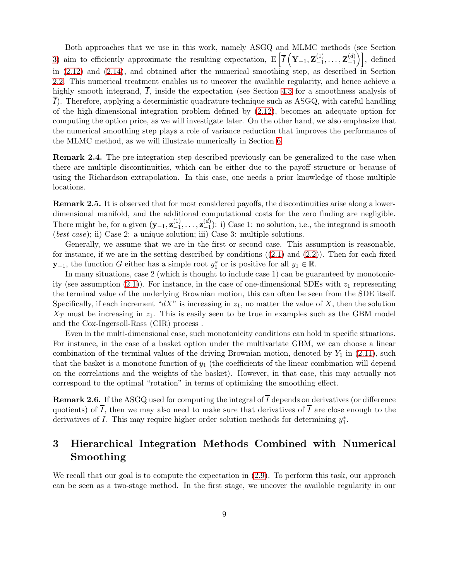Both approaches that we use in this work, namely ASGQ and MLMC methods (see Section [3\)](#page-8-0) aim to efficiently approximate the resulting expectation,  $E\left[\overline{I}\left(\mathbf{Y}_{-1},\mathbf{Z}_{-1}^{(1)}\right)\right]$  $\mathbf{Z}_{-1}^{(1)}, \ldots, \mathbf{Z}_{-1}^{(d)}$  $\begin{bmatrix} (d) \\ -1 \end{bmatrix}$ , defined in [\(2.12\)](#page-7-3) and [\(2.14\)](#page-7-2), and obtained after the numerical smoothing step, as described in Section [2.2.](#page-5-4) This numerical treatment enables us to uncover the available regularity, and hence achieve a highly smooth integrand,  $\overline{I}$ , inside the expectation (see Section [4.3](#page-14-0) for a smoothness analysis of  $\overline{I}$ ). Therefore, applying a deterministic quadrature technique such as ASGQ, with careful handling of the high-dimensional integration problem defined by [\(2.12\)](#page-7-3), becomes an adequate option for computing the option price, as we will investigate later. On the other hand, we also emphasize that the numerical smoothing step plays a role of variance reduction that improves the performance of the MLMC method, as we will illustrate numerically in Section [6.](#page-24-0)

Remark 2.4. The pre-integration step described previously can be generalized to the case when there are multiple discontinuities, which can be either due to the payoff structure or because of using the Richardson extrapolation. In this case, one needs a prior knowledge of those multiple locations.

Remark 2.5. It is observed that for most considered payoffs, the discontinuities arise along a lowerdimensional manifold, and the additional computational costs for the zero finding are negligible. There might be, for a given  $(\mathbf{y}_{-1}, \mathbf{z}_{-1}^{(1)})$  $\mathbf{z}_{-1}^{(1)}, \ldots, \mathbf{z}_{-1}^{(d)}$  $\binom{a}{-1}$ : i) Case 1: no solution, i.e., the integrand is smooth (*best case*); ii) Case 2: a unique solution; iii) Case 3: multiple solutions.

Generally, we assume that we are in the first or second case. This assumption is reasonable, for instance, if we are in the setting described by conditions  $((2.1)$  $((2.1)$  and  $(2.2)$ ). Then for each fixed **y**<sub>-1</sub>, the function G either has a simple root  $y_1^*$  or is positive for all  $y_1 \in \mathbb{R}$ .

In many situations, case 2 (which is thought to include case 1) can be guaranteed by monotonic-ity (see assumption [\(2.1\)](#page-3-2)). For instance, in the case of one-dimensional SDEs with  $z_1$  representing the terminal value of the underlying Brownian motion, this can often be seen from the SDE itself. Specifically, if each increment " $dX$ " is increasing in  $z_1$ , no matter the value of X, then the solution  $X_T$  must be increasing in  $z_1$ . This is easily seen to be true in examples such as the GBM model and the Cox-Ingersoll-Ross (CIR) process .

Even in the multi-dimensional case, such monotonicity conditions can hold in specific situations. For instance, in the case of a basket option under the multivariate GBM, we can choose a linear combination of the terminal values of the driving Brownian motion, denoted by  $Y_1$  in [\(2.11\)](#page-6-4), such that the basket is a monotone function of  $y_1$  (the coefficients of the linear combination will depend on the correlations and the weights of the basket). However, in that case, this may actually not correspond to the optimal "rotation" in terms of optimizing the smoothing effect.

**Remark 2.6.** If the ASGQ used for computing the integral of  $\overline{I}$  depends on derivatives (or difference quotients) of  $\overline{I}$ , then we may also need to make sure that derivatives of  $\overline{I}$  are close enough to the derivatives of  $I$ . This may require higher order solution methods for determining  $y_1^*$ .

# <span id="page-8-0"></span>3 Hierarchical Integration Methods Combined with Numerical Smoothing

We recall that our goal is to compute the expectation in  $(2.9)$ . To perform this task, our approach can be seen as a two-stage method. In the first stage, we uncover the available regularity in our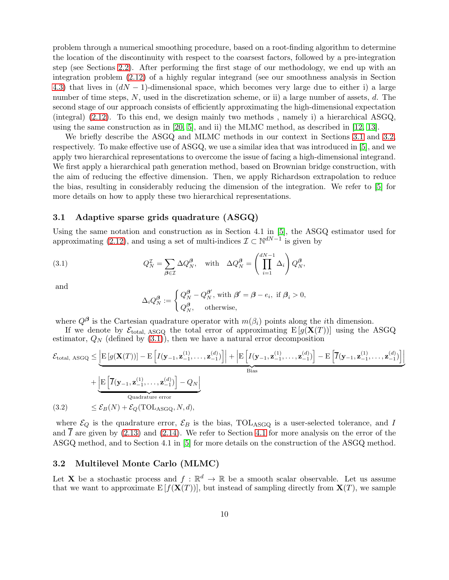problem through a numerical smoothing procedure, based on a root-finding algorithm to determine the location of the discontinuity with respect to the coarsest factors, followed by a pre-integration step (see Sections [2.2\)](#page-5-4). After performing the first stage of our methodology, we end up with an integration problem [\(2.12\)](#page-7-3) of a highly regular integrand (see our smoothness analysis in Section [4.3\)](#page-14-0) that lives in  $(dN-1)$ -dimensional space, which becomes very large due to either i) a large number of time steps, N, used in the discretization scheme, or ii) a large number of assets, d. The second stage of our approach consists of efficiently approximating the high-dimensional expectation (integral) [\(2.12\)](#page-7-3). To this end, we design mainly two methods , namely i) a hierarchical ASGQ, using the same construction as in [\[20,](#page-33-0) [5\]](#page-32-2), and ii) the MLMC method, as described in [\[12,](#page-32-5) [13\]](#page-32-6).

We briefly describe the ASGQ and MLMC methods in our context in Sections [3.1](#page-9-1) and [3.2,](#page-9-0) respectively. To make effective use of ASGQ, we use a similar idea that was introduced in [\[5\]](#page-32-2), and we apply two hierarchical representations to overcome the issue of facing a high-dimensional integrand. We first apply a hierarchical path generation method, based on Brownian bridge construction, with the aim of reducing the effective dimension. Then, we apply Richardson extrapolation to reduce the bias, resulting in considerably reducing the dimension of the integration. We refer to [\[5\]](#page-32-2) for more details on how to apply these two hierarchical representations.

### <span id="page-9-1"></span>3.1 Adaptive sparse grids quadrature (ASGQ)

Using the same notation and construction as in Section 4.1 in [\[5\]](#page-32-2), the ASGQ estimator used for approximating [\(2.12\)](#page-7-3), and using a set of multi-indices  $\mathcal{I} \subset \mathbb{N}^{dN-1}$  is given by

(3.1) 
$$
Q_N^{\mathcal{I}} = \sum_{\beta \in \mathcal{I}} \Delta Q_N^{\beta}, \text{ with } \Delta Q_N^{\beta} = \left(\prod_{i=1}^{dN-1} \Delta_i\right) Q_N^{\beta},
$$

and

<span id="page-9-2"></span>
$$
\Delta_i Q_N^{\beta} := \begin{cases} Q_N^{\beta} - Q_N^{\beta'}, \text{ with } \beta' = \beta - e_i, \text{ if } \beta_i > 0, \\ Q_N^{\beta}, \text{ otherwise,} \end{cases}
$$

where  $Q^{\beta}$  is the Cartesian quadrature operator with  $m(\beta_i)$  points along the *i*th dimension.

If we denote by  $\mathcal{E}_{total, ASGQ}$  the total error of approximating  $E[g(X(T))]$  using the ASGQ estimator,  $Q_N$  (defined by  $(3.1)$ ), then we have a natural error decomposition

$$
\mathcal{E}_{\text{total, ASGQ}} \leq \underbrace{\left| \mathbf{E} \left[ g(\mathbf{X}(T)) \right] - \mathbf{E} \left[ I(\mathbf{y}_{-1}, \mathbf{z}_{-1}^{(1)}, \dots, \mathbf{z}_{-1}^{(d)}) \right] \right|}_{\text{Bias}} + \underbrace{\left| \mathbf{E} \left[ \overline{I}(\mathbf{y}_{-1}, \mathbf{z}_{-1}^{(1)}, \dots, \mathbf{z}_{-1}^{(d)}) \right] - Q_N \right|}_{\text{Quadrature error}}
$$
\n
$$
(3.2) \leq \mathcal{E}_B(N) + \mathcal{E}_Q(\text{TOL}_{\text{ASGQ}}, N, d),
$$

<span id="page-9-3"></span>where  $\mathcal{E}_Q$  is the quadrature error,  $\mathcal{E}_B$  is the bias, TOLASGQ is a user-selected tolerance, and I and  $\overline{I}$  are given by [\(2.13\)](#page-7-1) and [\(2.14\)](#page-7-2). We refer to Section [4.1](#page-11-0) for more analysis on the error of the ASGQ method, and to Section 4.1 in [\[5\]](#page-32-2) for more details on the construction of the ASGQ method.

#### <span id="page-9-0"></span>3.2 Multilevel Monte Carlo (MLMC)

Let **X** be a stochastic process and  $f : \mathbb{R}^d \to \mathbb{R}$  be a smooth scalar observable. Let us assume that we want to approximate  $E[f(X(T))]$ , but instead of sampling directly from  $X(T)$ , we sample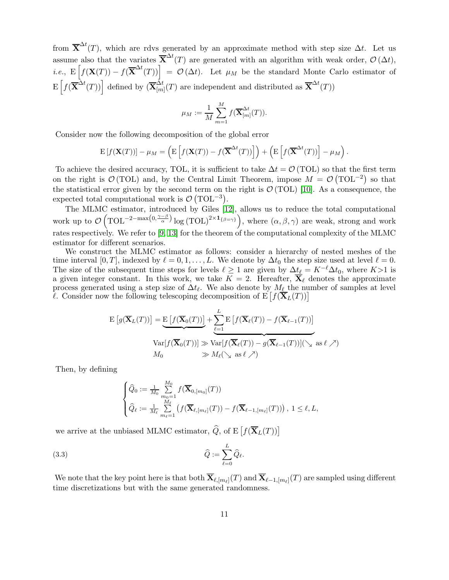from  $\overline{X}^{\Delta t}(T)$ , which are rdvs generated by an approximate method with step size  $\Delta t$ . Let us assume also that the variates  $\overline{X}^{\Delta t}(T)$  are generated with an algorithm with weak order,  $\mathcal{O}(\Delta t)$ , *i.e.*,  $E\left[f(\mathbf{X}(T)) - f(\overline{\mathbf{X}}^{\Delta t}(T))\right] = \mathcal{O}(\Delta t)$ . Let  $\mu_M$  be the standard Monte Carlo estimator of  $\mathbb{E}\left[f(\overline{\mathbf{X}}^{\Delta t}(T))\right]$  defined by  $(\overline{\mathbf{X}}_{lm}^{\tilde{\Delta}t})$  $\frac{\Delta t}{[m]}(T)$  are independent and distributed as  $\overline{\mathbf{X}}^{\Delta t}(T)$ 

$$
\mu_M:=\frac{1}{M}\sum_{m=1}^M f(\overline{\mathbf{X}}_{[m]}^{\Delta t}(T)).
$$

Consider now the following decomposition of the global error

$$
\mathbf{E}[f(\mathbf{X}(T))] - \mu_M = \left(\mathbf{E}\left[f(\mathbf{X}(T)) - f(\overline{\mathbf{X}}^{\Delta t}(T))\right]\right) + \left(\mathbf{E}\left[f(\overline{\mathbf{X}}^{\Delta t}(T))\right] - \mu_M\right).
$$

To achieve the desired accuracy, TOL, it is sufficient to take  $\Delta t = \mathcal{O}$  (TOL) so that the first term on the right is  $\mathcal{O}(\text{TOL})$  and, by the Central Limit Theorem, impose  $M = \mathcal{O}(\text{TOL}^{-2})$  so that the statistical error given by the second term on the right is  $\mathcal{O}(TOL)$  [\[10\]](#page-32-7). As a consequence, the expected total computational work is  $\mathcal{O}(\text{TOL}^{-3})$ .

The MLMC estimator, introduced by Giles [\[12\]](#page-32-5), allows us to reduce the total computational work up to  $\mathcal{O}(\text{TOL}^{-2-\max(0,\frac{\gamma-\beta}{\alpha})}\log(\text{TOL})^{2\times 1_{\{\beta=\gamma\}}}),$  where  $(\alpha,\beta,\gamma)$  are weak, strong and work rates respectively. We refer to [\[9,](#page-32-8) [13\]](#page-32-6) for the theorem of the computational complexity of the MLMC estimator for different scenarios.

We construct the MLMC estimator as follows: consider a hierarchy of nested meshes of the time interval [0, T], indexed by  $\ell = 0, 1, \ldots, L$ . We denote by  $\Delta t_0$  the step size used at level  $\ell = 0$ . The size of the subsequent time steps for levels  $\ell \geq 1$  are given by  $\Delta t_{\ell} = K^{-\ell} \Delta t_0$ , where  $K > 1$  is a given integer constant. In this work, we take  $\overline{K} = 2$ . Hereafter,  $\overline{X}_{\ell}$  denotes the approximate process generated using a step size of  $\Delta t_{\ell}$ . We also denote by  $M_{\ell}$  the number of samples at level l. Consider now the following telescoping decomposition of  $E[f(\mathbf{\bar{X}}_L(T))]$ 

$$
E\left[g(\overline{\mathbf{X}}_L(T))\right] = \underbrace{E\left[f(\overline{\mathbf{X}}_0(T))\right]}_{\text{Var}[f(\overline{\mathbf{X}}_0(T))]}\n + \underbrace{\sum_{\ell=1}^L E\left[f(\overline{\mathbf{X}}_\ell(T)) - f(\overline{\mathbf{X}}_{\ell-1}(T))\right]}_{\text{Var}[f(\overline{\mathbf{X}}_0(T))] \gg \text{Var}[f(\overline{\mathbf{X}}_\ell(T)) - g(\overline{\mathbf{X}}_{\ell-1}(T))](\searrow \text{ as } \ell \nearrow)
$$
\n
$$
M_0 \gg M_\ell(\searrow \text{ as } \ell \nearrow)
$$

Then, by defining

<span id="page-10-0"></span>
$$
\begin{cases} \widehat{Q}_0 := \frac{1}{M_0} \sum_{m_0=1}^{M_0} f(\overline{\mathbf{X}}_{0,[m_0]}(T)) \\ \widehat{Q}_{\ell} := \frac{1}{M_{\ell}} \sum_{m_{\ell}=1}^{M_{\ell}} \left( f(\overline{\mathbf{X}}_{\ell,[m_{\ell}]}(T)) - f(\overline{\mathbf{X}}_{\ell-1,[m_{\ell}]}(T)) \right), \ 1 \leq \ell, L, \end{cases}
$$

we arrive at the unbiased MLMC estimator,  $\widehat{Q}$ , of E  $\big[f(\overline{\mathbf{X}}_L(T))\big]$ 

$$
\widehat{Q} := \sum_{\ell=0}^{L} \widehat{Q}_{\ell}.
$$

We note that the key point here is that both  $\mathbf{X}_{\ell,[m_{\ell}]}(T)$  and  $\mathbf{X}_{\ell-1,[m_{\ell}]}(T)$  are sampled using different time discretizations but with the same generated randomness.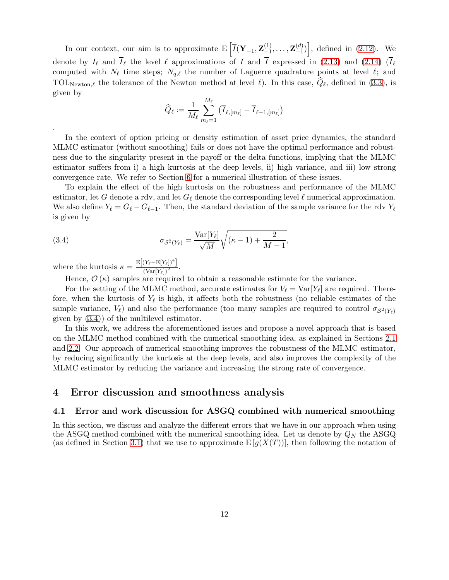In our context, our aim is to approximate  $E\left[\overline{I}(\mathbf{Y}_{-1}, \mathbf{Z}_{-1}^{(1)})\right]$  $\mathbf{Z}_{-1}^{(1)}, \ldots, \mathbf{Z}_{-1}^{(d)}$  $\begin{bmatrix} (d) \\ -1 \end{bmatrix}$ , defined in [\(2.12\)](#page-7-3). We denote by  $I_{\ell}$  and  $\overline{I}_{\ell}$  the level  $\ell$  approximations of I and  $\overline{I}$  expressed in [\(2.13\)](#page-7-1) and [\(2.14\)](#page-7-2)  $(\overline{I}_{\ell})$ computed with  $N_{\ell}$  time steps;  $N_{q,\ell}$  the number of Laguerre quadrature points at level  $\ell$ ; and TOL<sub>Newton,</sub> $\ell$  the tolerance of the Newton method at level  $\ell$ ). In this case,  $Q_{\ell}$ , defined in [\(3.3\)](#page-10-0), is given by

$$
\widehat{Q}_\ell := \frac{1}{M_\ell} \sum_{m_\ell=1}^{M_\ell} \left( \overline{I}_{\ell,[m_\ell]} - \overline{I}_{\ell-1,[m_\ell]} \right)
$$

In the context of option pricing or density estimation of asset price dynamics, the standard MLMC estimator (without smoothing) fails or does not have the optimal performance and robustness due to the singularity present in the payoff or the delta functions, implying that the MLMC estimator suffers from i) a high kurtosis at the deep levels, ii) high variance, and iii) low strong convergence rate. We refer to Section [6](#page-24-0) for a numerical illustration of these issues.

To explain the effect of the high kurtosis on the robustness and performance of the MLMC estimator, let G denote a rdv, and let  $G_{\ell}$  denote the corresponding level  $\ell$  numerical approximation. We also define  $Y_{\ell} = G_{\ell} - G_{\ell-1}$ . Then, the standard deviation of the sample variance for the rdv  $Y_{\ell}$ is given by

(3.4) 
$$
\sigma_{S^2(Y_{\ell})} = \frac{\text{Var}[Y_{\ell}]}{\sqrt{M}} \sqrt{(\kappa - 1) + \frac{2}{M - 1}},
$$

where the kurtosis  $\kappa = \frac{\mathrm{E}[(Y_{\ell} - \mathrm{E}[Y_{\ell}])^4]}{(\mathrm{Var}[Y_{\ell}])^2}$ .

.

<span id="page-11-1"></span>Hence,  $\mathcal{O}(\kappa)$  samples are required to obtain a reasonable estimate for the variance.

For the setting of the MLMC method, accurate estimates for  $V_{\ell} = \text{Var}[Y_{\ell}]$  are required. Therefore, when the kurtosis of  $Y_{\ell}$  is high, it affects both the robustness (no reliable estimates of the sample variance,  $V_{\ell}$ ) and also the performance (too many samples are required to control  $\sigma_{S^2(Y_{\ell})}$ ) given by [\(3.4\)](#page-11-1)) of the multilevel estimator.

In this work, we address the aforementioned issues and propose a novel approach that is based on the MLMC method combined with the numerical smoothing idea, as explained in Sections [2.1](#page-4-7) and [2.2.](#page-5-4) Our approach of numerical smoothing improves the robustness of the MLMC estimator, by reducing significantly the kurtosis at the deep levels, and also improves the complexity of the MLMC estimator by reducing the variance and increasing the strong rate of convergence.

# <span id="page-11-0"></span>4 Error discussion and smoothness analysis

## 4.1 Error and work discussion for ASGQ combined with numerical smoothing

In this section, we discuss and analyze the different errors that we have in our approach when using the ASGQ method combined with the numerical smoothing idea. Let us denote by  $Q_N$  the ASGQ (as defined in Section [3.1\)](#page-9-1) that we use to approximate  $E[g(X(T))]$ , then following the notation of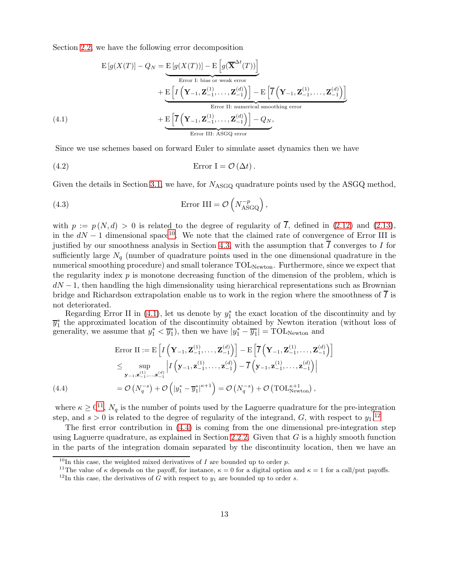Section [2.2,](#page-5-4) we have the following error decomposition

$$
E[g(X(T)] - Q_N = E[g(X(T))] - E\left[g(\overline{X}^{\Delta t}(T))\right]
$$
  
Error I: bias or weak error  

$$
+ E\left[I\left(\mathbf{Y}_{-1}, \mathbf{Z}_{-1}^{(1)}, \dots, \mathbf{Z}_{-1}^{(d)}\right)\right] - E\left[\overline{I}\left(\mathbf{Y}_{-1}, \mathbf{Z}_{-1}^{(1)}, \dots, \mathbf{Z}_{-1}^{(d)}\right)\right]
$$
  
Error II: numerical smoothing error  

$$
+ E\left[\overline{I}\left(\mathbf{Y}_{-1}, \mathbf{Z}_{-1}^{(1)}, \dots, \mathbf{Z}_{-1}^{(d)}\right)\right] - Q_N,
$$
  
Error III: ASGQ error

<span id="page-12-5"></span><span id="page-12-1"></span>Since we use schemes based on forward Euler to simulate asset dynamics then we have

(4.2) 
$$
\text{Error } \mathbf{I} = \mathcal{O}(\Delta t).
$$

Given the details in Section [3.1,](#page-9-1) we have, for  $N_{\text{ASGO}}$  quadrature points used by the ASGQ method,

<span id="page-12-6"></span>(4.3) 
$$
\text{Error III} = \mathcal{O}\left(N_{\text{ASGQ}}^{-p}\right),
$$

with  $p := p(N, d) > 0$  is related to the degree of regularity of  $\overline{I}$ , defined in [\(2.12\)](#page-7-3) and [\(2.13\)](#page-7-1), in the  $dN - 1$  dimensional space<sup>[10](#page-12-0)</sup>. We note that the claimed rate of convergence of Error III is justified by our smoothness analysis in Section [4.3,](#page-14-0) with the assumption that  $\overline{I}$  converges to I for sufficiently large  $N_q$  (number of quadrature points used in the one dimensional quadrature in the numerical smoothing procedure) and small tolerance  $\text{TOL}_{\text{Newton}}$ . Furthermore, since we expect that the regularity index  $p$  is monotone decreasing function of the dimension of the problem, which is  $dN-1$ , then handling the high dimensionality using hierarchical representations such as Brownian bridge and Richardson extrapolation enable us to work in the region where the smoothness of  $\overline{I}$  is not deteriorated.

Regarding Error II in  $(4.1)$ , let us denote by  $y_1^*$  the exact location of the discontinuity and by  $\overline{y}_1^*$  the approximated location of the discontinuity obtained by Newton iteration (without loss of generality, we assume that  $y_1^* < \overline{y}_1^*$ ), then we have  $|y_1^* - \overline{y}_1^*| = \text{TOL}_{\text{Newton}}$  and

$$
\begin{split}\n\text{Error II} &:= \mathrm{E}\left[I\left(\mathbf{Y}_{-1}, \mathbf{Z}_{-1}^{(1)}, \ldots, \mathbf{Z}_{-1}^{(d)}\right)\right] - \mathrm{E}\left[\overline{I}\left(\mathbf{Y}_{-1}, \mathbf{Z}_{-1}^{(1)}, \ldots, \mathbf{Z}_{-1}^{(d)}\right)\right] \\
&\leq \sup_{\mathbf{y}_{-1}, \mathbf{z}_{-1}^{(1)}, \ldots, \mathbf{z}_{-1}^{(d)}} \left|I\left(\mathbf{y}_{-1}, \mathbf{z}_{-1}^{(1)}, \ldots, \mathbf{z}_{-1}^{(d)}\right) - \overline{I}\left(\mathbf{y}_{-1}, \mathbf{z}_{-1}^{(1)}, \ldots, \mathbf{z}_{-1}^{(d)}\right)\right| \\
&= \mathcal{O}\left(N_q^{-s}\right) + \mathcal{O}\left(\left|y_1^* - \overline{y}_1^*\right|^{\kappa+1}\right) = \mathcal{O}\left(N_q^{-s}\right) + \mathcal{O}\left(\text{TOL}_{\text{Newton}}^{\kappa+1}\right),\n\end{split}
$$

<span id="page-12-4"></span>where  $\kappa \geq 0^{11}$  $\kappa \geq 0^{11}$  $\kappa \geq 0^{11}$ ,  $N_q$  is the number of points used by the Laguerre quadrature for the pre-integration step, and  $s > 0$  is related to the degree of regularity of the integrand, G, with respect to  $y_1$ .<sup>[12](#page-12-3)</sup>

The first error contribution in [\(4.4\)](#page-12-4) is coming from the one dimensional pre-integration step using Laguerre quadrature, as explained in Section [2.2.2.](#page-7-4) Given that  $G$  is a highly smooth function in the parts of the integration domain separated by the discontinuity location, then we have an

<sup>&</sup>lt;sup>10</sup>In this case, the weighted mixed derivatives of I are bounded up to order p.

<span id="page-12-0"></span><sup>&</sup>lt;sup>11</sup>The value of  $\kappa$  depends on the payoff, for instance,  $\kappa = 0$  for a digital option and  $\kappa = 1$  for a call/put payoffs.

<span id="page-12-3"></span><span id="page-12-2"></span><sup>&</sup>lt;sup>12</sup>In this case, the derivatives of G with respect to  $y_1$  are bounded up to order s.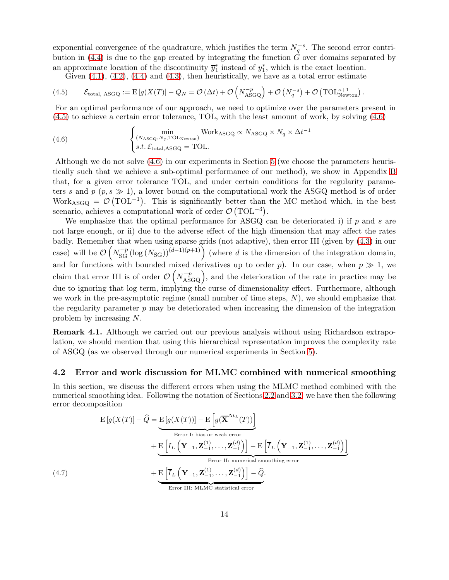exponential convergence of the quadrature, which justifies the term  $N_q^{-s}$ . The second error contri-bution in [\(4.4\)](#page-12-4) is due to the gap created by integrating the function  $\hat{G}$  over domains separated by an approximate location of the discontinuity  $\overline{y}_1^*$  instead of  $y_1^*$ , which is the exact location.

<span id="page-13-1"></span>Given  $(4.1)$ ,  $(4.2)$ ,  $(4.4)$  and  $(4.3)$ , then heuristically, we have as a total error estimate

(4.5) 
$$
\mathcal{E}_{\text{total, ASGQ}} := \mathrm{E}\left[g(X(T)) - Q_N = \mathcal{O}\left(\Delta t\right) + \mathcal{O}\left(N_{\text{ASGQ}}^{-p}\right) + \mathcal{O}\left(N_q^{-s}\right) + \mathcal{O}\left(\text{TOL}_{\text{Newton}}^{\kappa+1}\right).
$$

For an optimal performance of our approach, we need to optimize over the parameters present in [\(4.5\)](#page-13-1) to achieve a certain error tolerance, TOL, with the least amount of work, by solving [\(4.6\)](#page-13-2)

<span id="page-13-2"></span>(4.6) 
$$
\begin{cases} \min_{(N_{\text{ASGQ}}, N_q, \text{TOL}_{\text{Newton}})} \text{Work}_{\text{ASGQ}} \propto N_{\text{ASGQ}} \times N_q \times \Delta t^{-1} \\ s.t. \mathcal{E}_{\text{total,ASGQ}} = \text{TOL}. \end{cases}
$$

Although we do not solve [\(4.6\)](#page-13-2) in our experiments in Section [5](#page-17-0) (we choose the parameters heuristically such that we achieve a sub-optimal performance of our method), we show in Appendix [B](#page-37-0) that, for a given error tolerance TOL, and under certain conditions for the regularity parameters s and p  $(p, s \gg 1)$ , a lower bound on the computational work the ASGQ method is of order Work<sub>ASGQ</sub> =  $\mathcal{O}(\text{TOL}^{-1})$ . This is significantly better than the MC method which, in the best scenario, achieves a computational work of order  $\mathcal{O}(\text{TOL}^{-3})$ .

We emphasize that the optimal performance for ASGQ can be deteriorated i) if  $p$  and  $s$  are not large enough, or ii) due to the adverse effect of the high dimension that may affect the rates badly. Remember that when using sparse grids (not adaptive), then error III (given by [\(4.3\)](#page-12-6) in our case) will be  $\mathcal{O}\left(N_{\text{SG}}^{-p}(\log(N_{\text{SG}}))^{(d-1)(p+1)}\right)$  (where d is the dimension of the integration domain, and for functions with bounded mixed derivatives up to order p). In our case, when  $p \gg 1$ , we claim that error III is of order  $\mathcal{O}\left(N_{\text{ASGQ}}^{-p}\right)$ , and the deterioration of the rate in practice may be due to ignoring that log term, implying the curse of dimensionality effect. Furthermore, although we work in the pre-asymptotic regime (small number of time steps,  $N$ ), we should emphasize that the regularity parameter  $p$  may be deteriorated when increasing the dimension of the integration problem by increasing N.

Remark 4.1. Although we carried out our previous analysis without using Richardson extrapolation, we should mention that using this hierarchical representation improves the complexity rate of ASGQ (as we observed through our numerical experiments in Section [5\)](#page-17-0).

### <span id="page-13-0"></span>4.2 Error and work discussion for MLMC combined with numerical smoothing

In this section, we discuss the different errors when using the MLMC method combined with the numerical smoothing idea. Following the notation of Sections [2.2](#page-5-4) and [3.2,](#page-9-0) we have then the following error decomposition

<span id="page-13-3"></span>
$$
E[g(X(T))] - \hat{Q} = \underbrace{E[g(X(T))] - E\left[g(\overline{\mathbf{X}}^{\Delta t_L}(T))\right]}_{\text{Error I: bias or weak error}} + \underbrace{E\left[I_L\left(\mathbf{Y}_{-1}, \mathbf{Z}_{-1}^{(1)}, \dots, \mathbf{Z}_{-1}^{(d)}\right)\right] - E\left[\overline{I}_L\left(\mathbf{Y}_{-1}, \mathbf{Z}_{-1}^{(1)}, \dots, \mathbf{Z}_{-1}^{(d)}\right)\right]}_{\text{Error II: numerical smoothing error}} + \underbrace{E\left[\overline{I}_L\left(\mathbf{Y}_{-1}, \mathbf{Z}_{-1}^{(1)}, \dots, \mathbf{Z}_{-1}^{(d)}\right)\right] - \hat{Q}}_{\text{Error III: MLMC statistical error}}.
$$
\n
$$
(4.7)
$$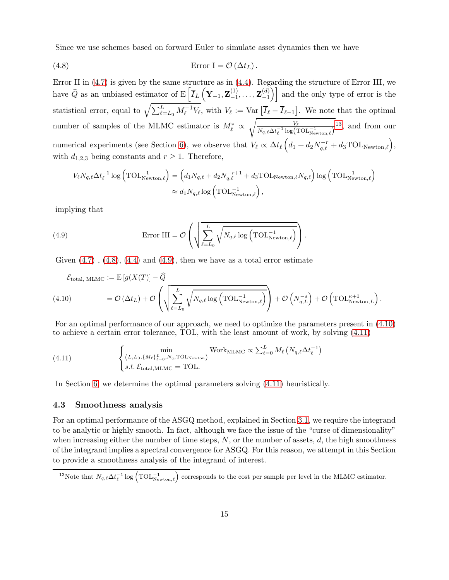<span id="page-14-2"></span>Since we use schemes based on forward Euler to simulate asset dynamics then we have

(4.8) 
$$
\text{Error } \mathbf{I} = \mathcal{O}(\Delta t_L).
$$

Error II in [\(4.7\)](#page-13-3) is given by the same structure as in [\(4.4\)](#page-12-4). Regarding the structure of Error III, we have  $\widehat{Q}$  as an unbiased estimator of E  $\left| \overline{I}_L \left( \mathbf{Y}_{-1}, \mathbf{Z}_{-1}^{(1)} \right) \right|$  $\mathbf{Z}_{-1}^{(1)}, \ldots, \mathbf{Z}_{-1}^{(d)}$  $\begin{pmatrix} d \\ -1 \end{pmatrix}$  and the only type of error is the statistical error, equal to  $\sqrt{\sum_{\ell=L_0}^L M_{\ell}^{-1} V_{\ell}}$ , with  $V_{\ell} := \text{Var}[\overline{I}_{\ell} - \overline{I}_{\ell-1}]$ . We note that the optimal number of samples of the MLMC estimator is  $M_{\ell}^* \propto$  $\sqrt{\frac{1}{\pi}}$  $\frac{V_{\ell}}{N_{q,\ell} \Delta t_{\ell}^{-1} \log(\text{TOL}_{\text{Newton},\ell})}$ <sup>[13](#page-14-1)</sup>, and from our numerical experiments (see Section [6\)](#page-24-0), we observe that  $V_{\ell} \propto \Delta t_{\ell} \left( d_1 + d_2 N_{q,\ell}^{-r} + d_3 \text{TOL}_{\text{Newton},\ell} \right),$ with  $d_{1,2,3}$  being constants and  $r \geq 1$ . Therefore,

$$
V_{\ell} N_{q,\ell} \Delta t_{\ell}^{-1} \log \left( \text{TOL}_{\text{Newton},\ell}^{-1} \right) = \left( d_1 N_{q,\ell} + d_2 N_{q,\ell}^{-r+1} + d_3 \text{TOL}_{\text{Newton},\ell} N_{q,\ell} \right) \log \left( \text{TOL}_{\text{Newton},\ell}^{-1} \right) \approx d_1 N_{q,\ell} \log \left( \text{TOL}_{\text{Newton},\ell}^{-1} \right),
$$

implying that

<span id="page-14-3"></span>(4.9) 
$$
\text{Error III} = \mathcal{O}\left(\sqrt{\sum_{\ell=L_0}^{L} \sqrt{N_{q,\ell} \log\left(\text{TOL}_{\text{Newton},\ell}^{-1}\right)}}\right).
$$

Given  $(4.7)$ ,  $(4.8)$ ,  $(4.4)$  and  $(4.9)$ , then we have as a total error estimate

<span id="page-14-4"></span>
$$
\mathcal{E}_{\text{total, MLMC}} := \mathrm{E}\left[g(X(T)) - \widehat{Q}\right]
$$
\n
$$
(4.10) \qquad \qquad = \mathcal{O}\left(\Delta t_L\right) + \mathcal{O}\left(\sqrt{\sum_{\ell=L_0}^L \sqrt{N_{q,\ell} \log\left(\text{TOL}_{\text{Newton},\ell}\right)}}\right) + \mathcal{O}\left(N_{q,L}^{-s}\right) + \mathcal{O}\left(\text{TOL}_{\text{Newton},L}^{\kappa+1}\right).
$$

For an optimal performance of our approach, we need to optimize the parameters present in [\(4.10\)](#page-14-4) to achieve a certain error tolerance, TOL, with the least amount of work, by solving [\(4.11\)](#page-14-5)

<span id="page-14-5"></span>(4.11) 
$$
\begin{cases}\n\min_{\left(L, L_0, \{M_\ell\}_{\ell=0}^L, N_q, \text{TOL}_{\text{Newton}}\right)} \text{Work}_{\text{MLMC}} \propto \sum_{\ell=0}^L M_\ell \left(N_{q,\ell} \Delta t_\ell^{-1}\right) \\
s.t. \mathcal{E}_{\text{total}, \text{MLMC}} = \text{TOL}.\n\end{cases}
$$

In Section [6,](#page-24-0) we determine the optimal parameters solving [\(4.11\)](#page-14-5) heuristically.

### <span id="page-14-0"></span>4.3 Smoothness analysis

For an optimal performance of the ASGQ method, explained in Section [3.1,](#page-9-1) we require the integrand to be analytic or highly smooth. In fact, although we face the issue of the "curse of dimensionality" when increasing either the number of time steps,  $N$ , or the number of assets,  $d$ , the high smoothness of the integrand implies a spectral convergence for ASGQ. For this reason, we attempt in this Section to provide a smoothness analysis of the integrand of interest.

<span id="page-14-1"></span><sup>&</sup>lt;sup>13</sup>Note that  $N_{q,\ell} \Delta t_{\ell}^{-1} \log \left( \text{TOL}_{\text{Newton},\ell}^{-1} \right)$  corresponds to the cost per sample per level in the MLMC estimator.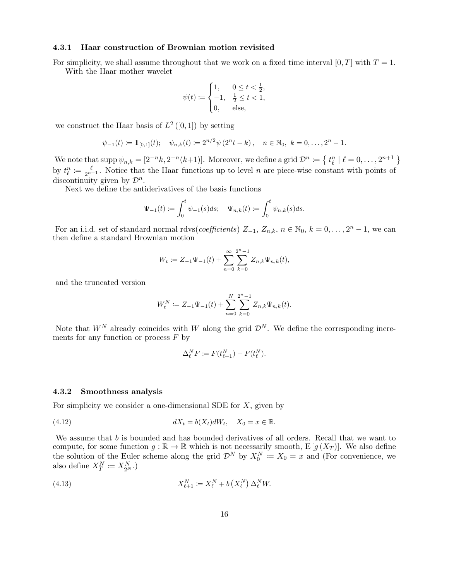#### 4.3.1 Haar construction of Brownian motion revisited

For simplicity, we shall assume throughout that we work on a fixed time interval  $[0, T]$  with  $T = 1$ . With the Haar mother wavelet

$$
\psi(t) := \begin{cases} 1, & 0 \le t < \frac{1}{2}, \\ -1, & \frac{1}{2} \le t < 1, \\ 0, & \text{else,} \end{cases}
$$

we construct the Haar basis of  $L^2([0,1])$  by setting

$$
\psi_{-1}(t) := \mathbb{1}_{[0,1]}(t); \quad \psi_{n,k}(t) := 2^{n/2} \psi(2^n t - k), \quad n \in \mathbb{N}_0, \ k = 0, \dots, 2^n - 1.
$$

We note that  $\text{supp } \psi_{n,k} = [2^{-n}k, 2^{-n}(k+1)].$  Moreover, we define a grid  $\mathcal{D}^n := \{ t^n_\ell \mid \ell = 0, \ldots, 2^{n+1} \}$ by  $t_{\ell}^{n} := \frac{\ell}{2^{n+1}}$ . Notice that the Haar functions up to level n are piece-wise constant with points of discontinuity given by  $\mathcal{D}^n$ .

Next we define the antiderivatives of the basis functions

$$
\Psi_{-1}(t) := \int_0^t \psi_{-1}(s)ds; \quad \Psi_{n,k}(t) := \int_0^t \psi_{n,k}(s)ds.
$$

For an i.i.d. set of standard normal rdvs(coefficients)  $Z_{-1}$ ,  $Z_{n,k}$ ,  $n \in \mathbb{N}_0$ ,  $k = 0, \ldots, 2^n - 1$ , we can then define a standard Brownian motion

$$
W_t := Z_{-1}\Psi_{-1}(t) + \sum_{n=0}^{\infty} \sum_{k=0}^{2^n - 1} Z_{n,k}\Psi_{n,k}(t),
$$

and the truncated version

$$
W_t^N \coloneqq Z_{-1} \Psi_{-1}(t) + \sum_{n=0}^N \sum_{k=0}^{2^n - 1} Z_{n,k} \Psi_{n,k}(t).
$$

Note that  $W^N$  already coincides with W along the grid  $\mathcal{D}^N$ . We define the corresponding increments for any function or process  $F$  by

<span id="page-15-0"></span>
$$
\Delta_{\ell}^N F \coloneqq F(t_{\ell+1}^N) - F(t_{\ell}^N).
$$

#### 4.3.2 Smoothness analysis

For simplicity we consider a one-dimensional SDE for  $X$ , given by

(4.12) 
$$
dX_t = b(X_t)dW_t, \quad X_0 = x \in \mathbb{R}.
$$

We assume that  $b$  is bounded and has bounded derivatives of all orders. Recall that we want to compute, for some function  $g : \mathbb{R} \to \mathbb{R}$  which is not necessarily smooth,  $E[g(X_T)]$ . We also define the solution of the Euler scheme along the grid  $\mathcal{D}^N$  by  $X_0^N := X_0 = x$  and (For convenience, we also define  $X_T^N \coloneqq X_{2^N}^N$ .)

<span id="page-15-1"></span>(4.13) 
$$
X_{\ell+1}^N := X_{\ell}^N + b\left(X_{\ell}^N\right) \Delta_{\ell}^N W.
$$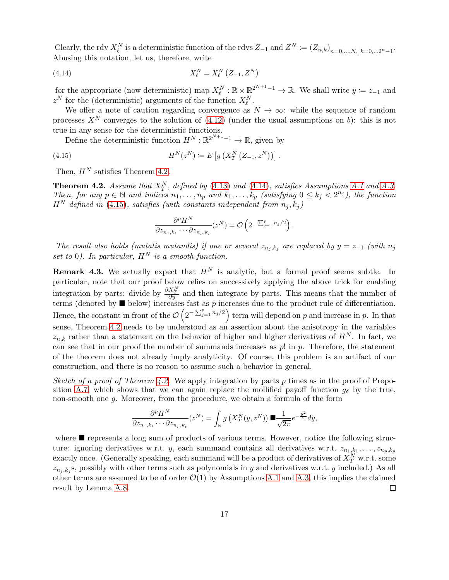Clearly, the rdv  $X_l^N$  is a deterministic function of the rdvs  $Z_{-1}$  and  $Z^N := (Z_{n,k})_{n=0,\dots,N, k=0,\dots,2^n-1}$ . Abusing this notation, let us, therefore, write

<span id="page-16-1"></span>(4.14) 
$$
X_{\ell}^{N} = X_{\ell}^{N} (Z_{-1}, Z^{N})
$$

for the appropriate (now deterministic) map  $X_{\ell}^{N} : \mathbb{R} \times \mathbb{R}^{2^{N+1}-1} \to \mathbb{R}$ . We shall write  $y := z_{-1}$  and  $z^N$  for the (deterministic) arguments of the function  $X_{\ell}^N$ .

We offer a note of caution regarding convergence as  $N \to \infty$ : while the sequence of random processes  $X^N$  converges to the solution of [\(4.12\)](#page-15-0) (under the usual assumptions on b): this is not true in any sense for the deterministic functions.

Define the deterministic function  $H^N: \mathbb{R}^{2^{N+1}-1} \to \mathbb{R}$ , given by

(4.15) 
$$
H^{N}(z^{N}) \coloneqq E \left[ g \left( X_{T}^{N} \left( Z_{-1}, z^{N} \right) \right) \right].
$$

Then,  $H^N$  satisfies Theorem [4.2.](#page-16-0)

<span id="page-16-0"></span>**Theorem 4.2.** Assume that  $X_T^N$ , defined by [\(4.13\)](#page-15-1) and [\(4.14\)](#page-16-1), satisfies Assumptions [A.1](#page-34-0) and [A.3.](#page-34-1) Then, for any  $p \in \mathbb{N}$  and indices  $n_1, \ldots, n_p$  and  $k_1, \ldots, k_p$  (satisfying  $0 \le k_j \le 2^{n_j}$ ), the function  $H^N$  defined in [\(4.15\)](#page-16-2), satisfies (with constants independent from  $n_j, k_j$ )

<span id="page-16-2"></span>
$$
\frac{\partial^p H^N}{\partial z_{n_1,k_1}\cdots\partial z_{n_p,k_p}}(z^N)=\mathcal{O}\left(2^{-\sum_{j=1}^p n_j/2}\right).
$$

The result also holds (mutatis mutandis) if one or several  $z_{n_j,k_j}$  are replaced by  $y = z_{-1}$  (with  $n_j$ set to 0). In particular,  $H^N$  is a smooth function.

**Remark 4.3.** We actually expect that  $H^N$  is analytic, but a formal proof seems subtle. In particular, note that our proof below relies on successively applying the above trick for enabling integration by parts: divide by  $\frac{\partial X_T^N}{\partial y}$  and then integrate by parts. This means that the number of terms (denoted by  $\blacksquare$  below) increases fast as p increases due to the product rule of differentiation. Hence, the constant in front of the  $\mathcal{O}\left(2^{-\sum_{j=1}^p n_j/2}\right)$  term will depend on p and increase in p. In that sense, Theorem [4.2](#page-16-0) needs to be understood as an assertion about the anisotropy in the variables  $z_{n,k}$  rather than a statement on the behavior of higher and higher derivatives of  $H^N$ . In fact, we can see that in our proof the number of summands increases as  $p!$  in  $p$ . Therefore, the statement of the theorem does not already imply analyticity. Of course, this problem is an artifact of our construction, and there is no reason to assume such a behavior in general.

Sketch of a proof of Theorem [4.2.](#page-16-0) We apply integration by parts p times as in the proof of Propo-sition [A.7,](#page-35-0) which shows that we can again replace the mollified payoff function  $g_{\delta}$  by the true, non-smooth one g. Moreover, from the procedure, we obtain a formula of the form

$$
\frac{\partial^p H^N}{\partial z_{n_1,k_1}\cdots\partial z_{n_p,k_p}}(z^N)=\int_{\mathbb{R}}g\left(X_T^N(y,z^N)\right)\blacksquare\frac{1}{\sqrt{2\pi}}e^{-\frac{y^2}{2}}dy,
$$

where  $\blacksquare$  represents a long sum of products of various terms. However, notice the following structure: ignoring derivatives w.r.t. y, each summand contains all derivatives w.r.t.  $z_{n_1,k_1}, \ldots, z_{n_p,k_p}$ exactly once. (Generally speaking, each summand will be a product of derivatives of  $X_T^N$  w.r.t. some  $z_{n_j, k_j}$ s, possibly with other terms such as polynomials in y and derivatives w.r.t. y included.) As all other terms are assumed to be of order  $\mathcal{O}(1)$  by Assumptions [A.1](#page-34-0) and [A.3,](#page-34-1) this implies the claimed result by Lemma A.8. result by Lemma [A.8.](#page-36-0)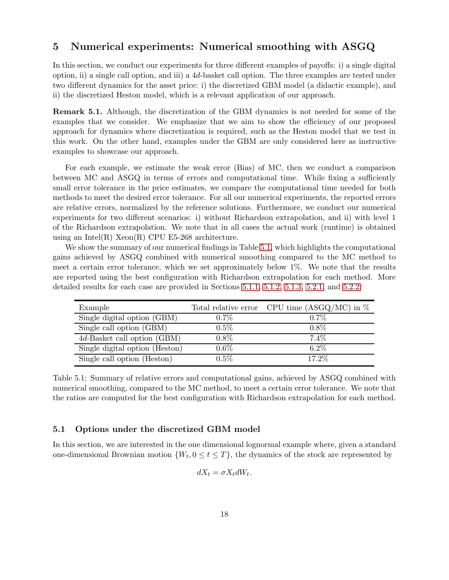# <span id="page-17-0"></span>5 Numerical experiments: Numerical smoothing with ASGQ

In this section, we conduct our experiments for three different examples of payoffs: i) a single digital option, ii) a single call option, and iii) a 4d-basket call option. The three examples are tested under two different dynamics for the asset price: i) the discretized GBM model (a didactic example), and ii) the discretized Heston model, which is a relevant application of our approach.

Remark 5.1. Although, the discretization of the GBM dynamics is not needed for some of the examples that we consider. We emphasize that we aim to show the efficiency of our proposed approach for dynamics where discretization is required, such as the Heston model that we test in this work. On the other hand, examples under the GBM are only considered here as instructive examples to showcase our approach.

For each example, we estimate the weak error (Bias) of MC, then we conduct a comparison between MC and ASGQ in terms of errors and computational time. While fixing a sufficiently small error tolerance in the price estimates, we compare the computational time needed for both methods to meet the desired error tolerance. For all our numerical experiments, the reported errors are relative errors, normalized by the reference solutions. Furthermore, we conduct our numerical experiments for two different scenarios: i) without Richardson extrapolation, and ii) with level 1 of the Richardson extrapolation. We note that in all cases the actual work (runtime) is obtained using an Intel $(R)$  Xeon $(R)$  CPU E5-268 architecture.

We show the summary of our numerical findings in Table [5.1,](#page-17-1) which highlights the computational gains achieved by ASGQ combined with numerical smoothing compared to the MC method to meet a certain error tolerance, which we set approximately below 1%. We note that the results are reported using the best configuration with Richardson extrapolation for each method. More detailed results for each case are provided in Sections [5.1.1,](#page-18-0) [5.1.2,](#page-19-0) [5.1.3,](#page-20-0) [5.2.1,](#page-21-0) and [5.2.2.](#page-23-0)

<span id="page-17-1"></span>

| Example                        |         | Total relative error CPU time $(ASGQ/MC)$ in $%$ |
|--------------------------------|---------|--------------------------------------------------|
| Single digital option (GBM)    | $0.7\%$ | $0.7\%$                                          |
| Single call option (GBM)       | $0.5\%$ | $0.8\%$                                          |
| 4d-Basket call option (GBM)    | $0.8\%$ | $7.4\%$                                          |
| Single digital option (Heston) | $0.6\%$ | $6.2\%$                                          |
| Single call option (Heston)    | $0.5\%$ | 17.2\%                                           |

Table 5.1: Summary of relative errors and computational gains, achieved by ASGQ combined with numerical smoothing, compared to the MC method, to meet a certain error tolerance. We note that the ratios are computed for the best configuration with Richardson extrapolation for each method.

### 5.1 Options under the discretized GBM model

In this section, we are interested in the one dimensional lognormal example where, given a standard one-dimensional Brownian motion  $\{W_t, 0 \le t \le T\}$ , the dynamics of the stock are represented by

$$
dX_t = \sigma X_t dW_t.
$$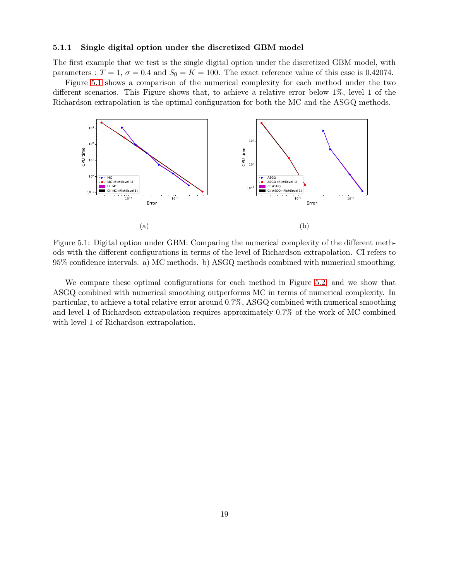#### <span id="page-18-0"></span>5.1.1 Single digital option under the discretized GBM model

The first example that we test is the single digital option under the discretized GBM model, with parameters :  $T = 1$ ,  $\sigma = 0.4$  and  $S_0 = K = 100$ . The exact reference value of this case is 0.42074.

Figure [5.1](#page-18-1) shows a comparison of the numerical complexity for each method under the two different scenarios. This Figure shows that, to achieve a relative error below 1%, level 1 of the Richardson extrapolation is the optimal configuration for both the MC and the ASGQ methods.

<span id="page-18-1"></span>

Figure 5.1: Digital option under GBM: Comparing the numerical complexity of the different methods with the different configurations in terms of the level of Richardson extrapolation. CI refers to 95% confidence intervals. a) MC methods. b) ASGQ methods combined with numerical smoothing.

We compare these optimal configurations for each method in Figure [5.2,](#page-19-1) and we show that ASGQ combined with numerical smoothing outperforms MC in terms of numerical complexity. In particular, to achieve a total relative error around 0.7%, ASGQ combined with numerical smoothing and level 1 of Richardson extrapolation requires approximately 0.7% of the work of MC combined with level 1 of Richardson extrapolation.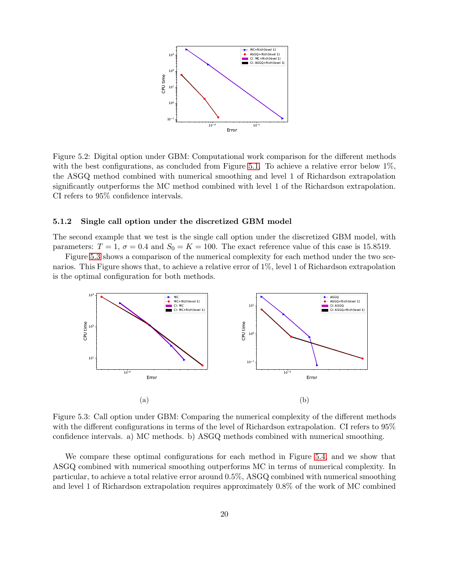<span id="page-19-1"></span>

Figure 5.2: Digital option under GBM: Computational work comparison for the different methods with the best configurations, as concluded from Figure [5.1.](#page-18-1) To achieve a relative error below 1%, the ASGQ method combined with numerical smoothing and level 1 of Richardson extrapolation significantly outperforms the MC method combined with level 1 of the Richardson extrapolation. CI refers to 95% confidence intervals.

#### <span id="page-19-0"></span>5.1.2 Single call option under the discretized GBM model

The second example that we test is the single call option under the discretized GBM model, with parameters:  $T = 1$ ,  $\sigma = 0.4$  and  $S_0 = K = 100$ . The exact reference value of this case is 15.8519.

Figure [5.3](#page-19-2) shows a comparison of the numerical complexity for each method under the two scenarios. This Figure shows that, to achieve a relative error of 1%, level 1 of Richardson extrapolation is the optimal configuration for both methods.

<span id="page-19-2"></span>

Figure 5.3: Call option under GBM: Comparing the numerical complexity of the different methods with the different configurations in terms of the level of Richardson extrapolation. CI refers to 95% confidence intervals. a) MC methods. b) ASGQ methods combined with numerical smoothing.

We compare these optimal configurations for each method in Figure [5.4,](#page-20-1) and we show that ASGQ combined with numerical smoothing outperforms MC in terms of numerical complexity. In particular, to achieve a total relative error around 0.5%, ASGQ combined with numerical smoothing and level 1 of Richardson extrapolation requires approximately 0.8% of the work of MC combined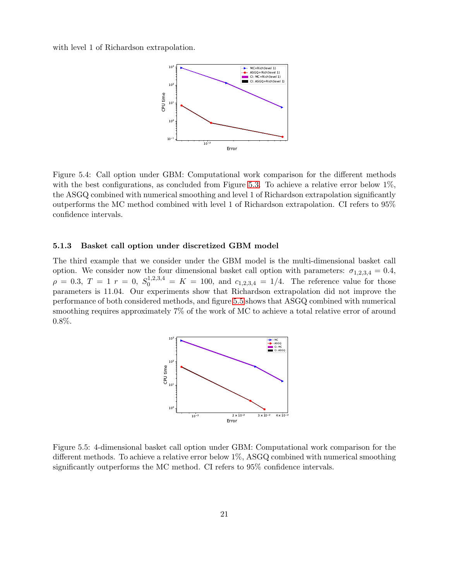<span id="page-20-1"></span>with level 1 of Richardson extrapolation.



Figure 5.4: Call option under GBM: Computational work comparison for the different methods with the best configurations, as concluded from Figure [5.3.](#page-19-2) To achieve a relative error below 1%, the ASGQ combined with numerical smoothing and level 1 of Richardson extrapolation significantly outperforms the MC method combined with level 1 of Richardson extrapolation. CI refers to 95% confidence intervals.

### <span id="page-20-0"></span>5.1.3 Basket call option under discretized GBM model

<span id="page-20-2"></span>The third example that we consider under the GBM model is the multi-dimensional basket call option. We consider now the four dimensional basket call option with parameters:  $\sigma_{1,2,3,4} = 0.4$ ,  $\rho = 0.3, T = 1 r = 0, S_0^{1,2,3,4} = K = 100, \text{ and } c_{1,2,3,4} = 1/4.$  The reference value for those parameters is 11.04. Our experiments show that Richardson extrapolation did not improve the performance of both considered methods, and figure [5.5](#page-20-2) shows that ASGQ combined with numerical smoothing requires approximately 7% of the work of MC to achieve a total relative error of around 0.8%.



Figure 5.5: 4-dimensional basket call option under GBM: Computational work comparison for the different methods. To achieve a relative error below 1%, ASGQ combined with numerical smoothing significantly outperforms the MC method. CI refers to 95% confidence intervals.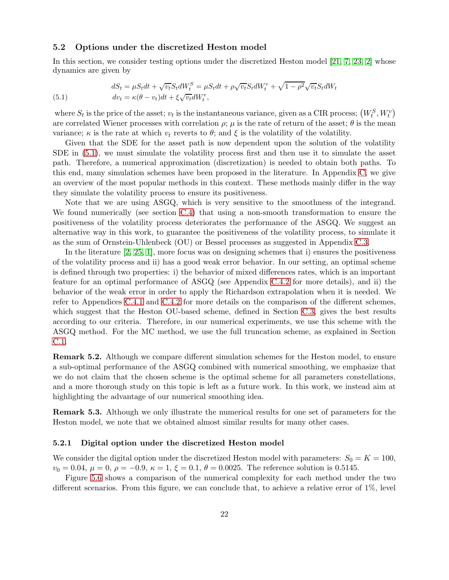#### 5.2 Options under the discretized Heston model

In this section, we consider testing options under the discretized Heston model [\[21,](#page-33-10) [7,](#page-32-9) [23,](#page-33-11) [2\]](#page-32-10) whose dynamics are given by

<span id="page-21-1"></span>(5.1) 
$$
dS_t = \mu S_t dt + \sqrt{v_t} S_t dW_t^S = \mu S_t dt + \rho \sqrt{v_t} S_t dW_t^v + \sqrt{1 - \rho^2} \sqrt{v_t} S_t dW_t
$$

$$
dv_t = \kappa (\theta - v_t) dt + \xi \sqrt{v_t} dW_t^v,
$$

where  $S_t$  is the price of the asset;  $v_t$  is the instantaneous variance, given as a CIR process;  $(W_t^S, W_t^v)$ are correlated Wiener processes with correlation  $\rho$ ;  $\mu$  is the rate of return of the asset;  $\theta$  is the mean variance;  $\kappa$  is the rate at which  $v_t$  reverts to  $\theta$ ; and  $\xi$  is the volatility of the volatility.

Given that the SDE for the asset path is now dependent upon the solution of the volatility SDE in [\(5.1\)](#page-21-1), we must simulate the volatility process first and then use it to simulate the asset path. Therefore, a numerical approximation (discretization) is needed to obtain both paths. To this end, many simulation schemes have been proposed in the literature. In Appendix [C,](#page-37-1) we give an overview of the most popular methods in this context. These methods mainly differ in the way they simulate the volatility process to ensure its positiveness.

Note that we are using ASGQ, which is very sensitive to the smoothness of the integrand. We found numerically (see section [C.4\)](#page-39-0) that using a non-smooth transformation to ensure the positiveness of the volatility process deteriorates the performance of the ASGQ. We suggest an alternative way in this work, to guarantee the positiveness of the volatility process, to simulate it as the sum of Ornstein-Uhlenbeck (OU) or Bessel processes as suggested in Appendix [C.3.](#page-38-0)

In the literature [\[2,](#page-32-10) [25,](#page-33-12) [1\]](#page-32-11), more focus was on designing schemes that i) ensures the positiveness of the volatility process and ii) has a good weak error behavior. In our setting, an optimal scheme is defined through two properties: i) the behavior of mixed differences rates, which is an important feature for an optimal performance of ASGQ (see Appendix [C.4.2](#page-40-0) for more details), and ii) the behavior of the weak error in order to apply the Richardson extrapolation when it is needed. We refer to Appendices [C.4.1](#page-39-1) and [C.4.2](#page-40-0) for more details on the comparison of the different schemes, which suggest that the Heston OU-based scheme, defined in Section [C.3,](#page-38-0) gives the best results according to our criteria. Therefore, in our numerical experiments, we use this scheme with the ASGQ method. For the MC method, we use the full truncation scheme, as explained in Section [C.1.](#page-37-2)

Remark 5.2. Although we compare different simulation schemes for the Heston model, to ensure a sub-optimal performance of the ASGQ combined with numerical smoothing, we emphasize that we do not claim that the chosen scheme is the optimal scheme for all parameters constellations, and a more thorough study on this topic is left as a future work. In this work, we instead aim at highlighting the advantage of our numerical smoothing idea.

Remark 5.3. Although we only illustrate the numerical results for one set of parameters for the Heston model, we note that we obtained almost similar results for many other cases.

#### <span id="page-21-0"></span>5.2.1 Digital option under the discretized Heston model

We consider the digital option under the discretized Heston model with parameters:  $S_0 = K = 100$ ,  $v_0 = 0.04, \mu = 0, \rho = -0.9, \kappa = 1, \xi = 0.1, \theta = 0.0025$ . The reference solution is 0.5145.

Figure [5.6](#page-22-0) shows a comparison of the numerical complexity for each method under the two different scenarios. From this figure, we can conclude that, to achieve a relative error of  $1\%$ , level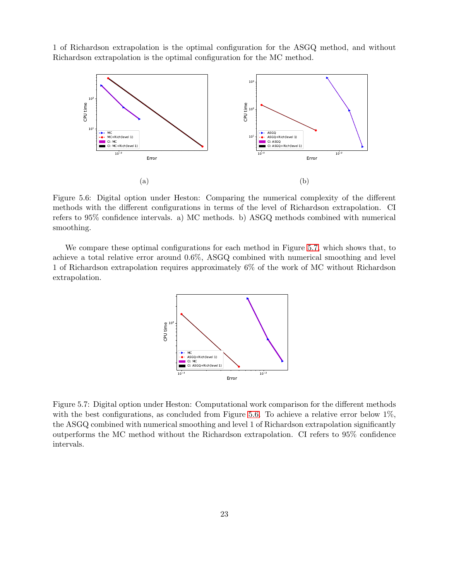<span id="page-22-0"></span>1 of Richardson extrapolation is the optimal configuration for the ASGQ method, and without Richardson extrapolation is the optimal configuration for the MC method.



Figure 5.6: Digital option under Heston: Comparing the numerical complexity of the different methods with the different configurations in terms of the level of Richardson extrapolation. CI refers to 95% confidence intervals. a) MC methods. b) ASGQ methods combined with numerical smoothing.

<span id="page-22-1"></span>We compare these optimal configurations for each method in Figure [5.7,](#page-22-1) which shows that, to achieve a total relative error around 0.6%, ASGQ combined with numerical smoothing and level 1 of Richardson extrapolation requires approximately 6% of the work of MC without Richardson extrapolation.



Figure 5.7: Digital option under Heston: Computational work comparison for the different methods with the best configurations, as concluded from Figure [5.6.](#page-22-0) To achieve a relative error below  $1\%$ , the ASGQ combined with numerical smoothing and level 1 of Richardson extrapolation significantly outperforms the MC method without the Richardson extrapolation. CI refers to 95% confidence intervals.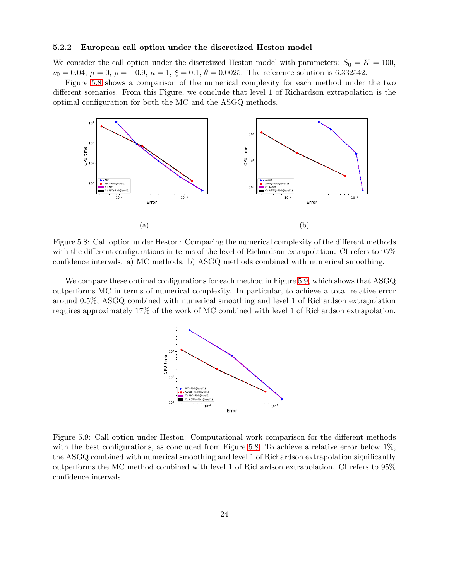#### <span id="page-23-0"></span>5.2.2 European call option under the discretized Heston model

We consider the call option under the discretized Heston model with parameters:  $S_0 = K = 100$ ,  $v_0 = 0.04, \mu = 0, \rho = -0.9, \kappa = 1, \xi = 0.1, \theta = 0.0025$ . The reference solution is 6.332542.

<span id="page-23-1"></span>Figure [5.8](#page-23-1) shows a comparison of the numerical complexity for each method under the two different scenarios. From this Figure, we conclude that level 1 of Richardson extrapolation is the optimal configuration for both the MC and the ASGQ methods.



Figure 5.8: Call option under Heston: Comparing the numerical complexity of the different methods with the different configurations in terms of the level of Richardson extrapolation. CI refers to 95% confidence intervals. a) MC methods. b) ASGQ methods combined with numerical smoothing.

<span id="page-23-2"></span>We compare these optimal configurations for each method in Figure [5.9,](#page-23-2) which shows that ASGQ outperforms MC in terms of numerical complexity. In particular, to achieve a total relative error around 0.5%, ASGQ combined with numerical smoothing and level 1 of Richardson extrapolation requires approximately 17% of the work of MC combined with level 1 of Richardson extrapolation.



Figure 5.9: Call option under Heston: Computational work comparison for the different methods with the best configurations, as concluded from Figure [5.8.](#page-23-1) To achieve a relative error below 1%, the ASGQ combined with numerical smoothing and level 1 of Richardson extrapolation significantly outperforms the MC method combined with level 1 of Richardson extrapolation. CI refers to 95% confidence intervals.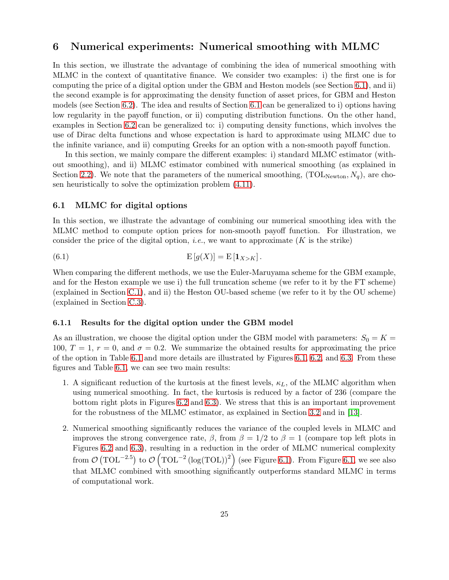# <span id="page-24-0"></span>6 Numerical experiments: Numerical smoothing with MLMC

In this section, we illustrate the advantage of combining the idea of numerical smoothing with MLMC in the context of quantitative finance. We consider two examples: i) the first one is for computing the price of a digital option under the GBM and Heston models (see Section [6.1\)](#page-24-1), and ii) the second example is for approximating the density function of asset prices, for GBM and Heston models (see Section [6.2\)](#page-28-0). The idea and results of Section [6.1](#page-24-1) can be generalized to i) options having low regularity in the payoff function, or ii) computing distribution functions. On the other hand, examples in Section [6.2](#page-28-0) can be generalized to: i) computing density functions, which involves the use of Dirac delta functions and whose expectation is hard to approximate using MLMC due to the infinite variance, and ii) computing Greeks for an option with a non-smooth payoff function.

In this section, we mainly compare the different examples: i) standard MLMC estimator (without smoothing), and ii) MLMC estimator combined with numerical smoothing (as explained in Section [2.2\)](#page-5-4). We note that the parameters of the numerical smoothing,  $(TOL_{Newton}, N_q)$ , are chosen heuristically to solve the optimization problem [\(4.11\)](#page-14-5).

### <span id="page-24-1"></span>6.1 MLMC for digital options

In this section, we illustrate the advantage of combining our numerical smoothing idea with the MLMC method to compute option prices for non-smooth payoff function. For illustration, we consider the price of the digital option, *i.e.*, we want to approximate  $(K$  is the strike)

(6.1) 
$$
E[g(X)] = E[\mathbf{1}_{X>K}].
$$

When comparing the different methods, we use the Euler-Maruyama scheme for the GBM example, and for the Heston example we use i) the full truncation scheme (we refer to it by the FT scheme) (explained in Section [C.1\)](#page-37-2), and ii) the Heston OU-based scheme (we refer to it by the OU scheme) (explained in Section [C.3\)](#page-38-0).

#### <span id="page-24-2"></span>6.1.1 Results for the digital option under the GBM model

As an illustration, we choose the digital option under the GBM model with parameters:  $S_0 = K =$ 100,  $T = 1$ ,  $r = 0$ , and  $\sigma = 0.2$ . We summarize the obtained results for approximating the price of the option in Table [6.1](#page-25-0) and more details are illustrated by Figures [6.1,](#page-25-1) [6.2,](#page-25-2) and [6.3.](#page-26-0) From these figures and Table [6.1,](#page-25-0) we can see two main results:

- 1. A significant reduction of the kurtosis at the finest levels,  $\kappa_L$ , of the MLMC algorithm when using numerical smoothing. In fact, the kurtosis is reduced by a factor of 236 (compare the bottom right plots in Figures [6.2](#page-25-2) and [6.3\)](#page-26-0). We stress that this is an important improvement for the robustness of the MLMC estimator, as explained in Section [3.2](#page-9-0) and in [\[13\]](#page-32-6).
- 2. Numerical smoothing significantly reduces the variance of the coupled levels in MLMC and improves the strong convergence rate,  $\beta$ , from  $\beta = 1/2$  to  $\beta = 1$  (compare top left plots in Figures [6.2](#page-25-2) and [6.3\)](#page-26-0), resulting in a reduction in the order of MLMC numerical complexity from  $\mathcal{O}(\text{TOL}^{-2.5})$  to  $\mathcal{O}(\text{TOL}^{-2}(\log(\text{TOL}))^2)$  (see Figure [6.1\)](#page-25-1). From Figure [6.1,](#page-25-1) we see also that MLMC combined with smoothing significantly outperforms standard MLMC in terms of computational work.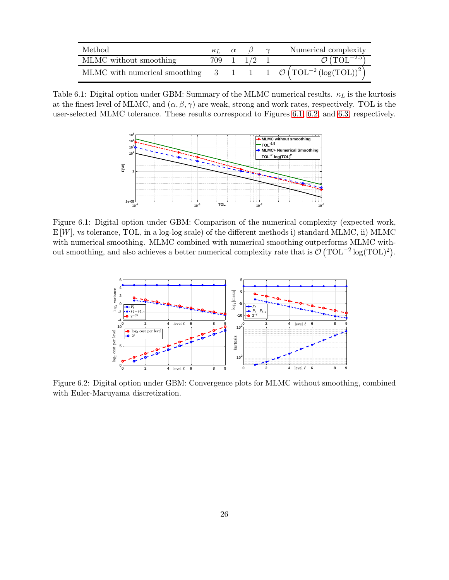<span id="page-25-0"></span>

| Method.                                                                                  |  |             | Numerical complexity             |
|------------------------------------------------------------------------------------------|--|-------------|----------------------------------|
| MLMC without smoothing                                                                   |  | 709 1 1/2 1 | $\mathcal{O}(\text{TOL}^{-2.5})$ |
| MLMC with numerical smoothing 3 1 1 0 $\mathcal{O}(\text{TOL}^{-2}(\log(\text{TOL}))^2)$ |  |             |                                  |

<span id="page-25-1"></span>Table 6.1: Digital option under GBM: Summary of the MLMC numerical results.  $\kappa_L$  is the kurtosis at the finest level of MLMC, and  $(\alpha, \beta, \gamma)$  are weak, strong and work rates, respectively. TOL is the user-selected MLMC tolerance. These results correspond to Figures [6.1,](#page-25-1) [6.2,](#page-25-2) and [6.3,](#page-26-0) respectively.



<span id="page-25-2"></span>Figure 6.1: Digital option under GBM: Comparison of the numerical complexity (expected work,  $E[W]$ , vs tolerance, TOL, in a log-log scale) of the different methods i) standard MLMC, ii) MLMC with numerical smoothing. MLMC combined with numerical smoothing outperforms MLMC without smoothing, and also achieves a better numerical complexity rate that is  $\mathcal{O}(\text{TOL}^{-2}\log(\text{TOL})^2)$ .



Figure 6.2: Digital option under GBM: Convergence plots for MLMC without smoothing, combined with Euler-Maruyama discretization.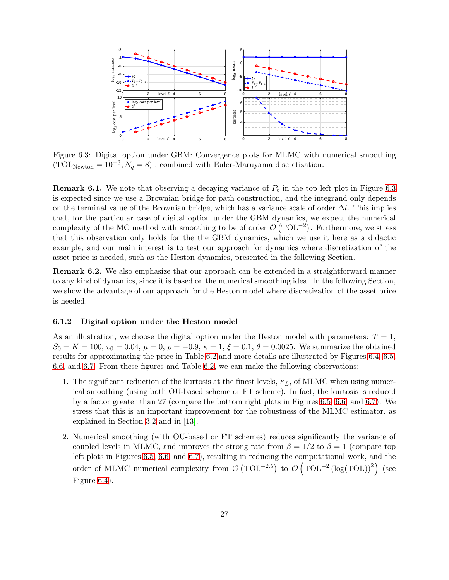<span id="page-26-0"></span>

Figure 6.3: Digital option under GBM: Convergence plots for MLMC with numerical smoothing  $(TOL_{Newton} = 10^{-3}, N_q = 8)$ , combined with Euler-Maruyama discretization.

<span id="page-26-2"></span>**Remark 6.1.** We note that observing a decaying variance of  $P_{\ell}$  in the top left plot in Figure [6.3](#page-26-0) is expected since we use a Brownian bridge for path construction, and the integrand only depends on the terminal value of the Brownian bridge, which has a variance scale of order  $\Delta t$ . This implies that, for the particular case of digital option under the GBM dynamics, we expect the numerical complexity of the MC method with smoothing to be of order  $\mathcal{O}(\text{TOL}^{-2})$ . Furthermore, we stress that this observation only holds for the the GBM dynamics, which we use it here as a didactic example, and our main interest is to test our approach for dynamics where discretization of the asset price is needed, such as the Heston dynamics, presented in the following Section.

Remark 6.2. We also emphasize that our approach can be extended in a straightforward manner to any kind of dynamics, since it is based on the numerical smoothing idea. In the following Section, we show the advantage of our approach for the Heston model where discretization of the asset price is needed.

### <span id="page-26-1"></span>6.1.2 Digital option under the Heston model

As an illustration, we choose the digital option under the Heston model with parameters:  $T = 1$ ,  $S_0 = K = 100, v_0 = 0.04, \mu = 0, \rho = -0.9, \kappa = 1, \xi = 0.1, \theta = 0.0025$ . We summarize the obtained results for approximating the price in Table [6.2](#page-27-0) and more details are illustrated by Figures [6.4,](#page-27-1) [6.5,](#page-27-2) [6.6,](#page-28-1) and [6.7.](#page-28-2) From these figures and Table [6.2,](#page-27-0) we can make the following observations:

- 1. The significant reduction of the kurtosis at the finest levels,  $\kappa_L$ , of MLMC when using numerical smoothing (using both OU-based scheme or FT scheme). In fact, the kurtosis is reduced by a factor greater than 27 (compare the bottom right plots in Figures [6.5,](#page-27-2) [6.6,](#page-28-1) and [6.7\)](#page-28-2). We stress that this is an important improvement for the robustness of the MLMC estimator, as explained in Section [3.2](#page-9-0) and in [\[13\]](#page-32-6).
- 2. Numerical smoothing (with OU-based or FT schemes) reduces significantly the variance of coupled levels in MLMC, and improves the strong rate from  $\beta = 1/2$  to  $\beta = 1$  (compare top left plots in Figures [6.5,](#page-27-2) [6.6,](#page-28-1) and [6.7\)](#page-28-2), resulting in reducing the computational work, and the order of MLMC numerical complexity from  $\mathcal{O}(\text{TOL}^{-2.5})$  to  $\mathcal{O}(\text{TOL}^{-2}(\log(\text{TOL}))^2)$  (see Figure [6.4\)](#page-27-1).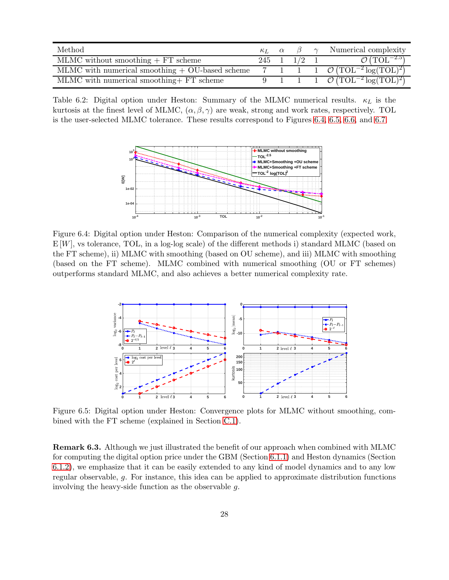<span id="page-27-0"></span>

| Method                                            | $\kappa_L$ $\alpha$ |         | $\sim$ | Numerical complexity                                                     |
|---------------------------------------------------|---------------------|---------|--------|--------------------------------------------------------------------------|
| MLMC without smoothing $+FT$ scheme               | 245 1               | $1/2$ 1 |        | $\mathcal{O}(\text{TOL}^{-2.5})$                                         |
| MLMC with numerical smoothing $+$ OU-based scheme |                     |         |        | 7 1 1 $\mathcal{O}(TOL^{-2}\log(TOL)^2)$                                 |
| MLMC with numerical smoothing + FT scheme         |                     |         |        | $\boxed{1 \quad 1 \quad \mathcal{O}(\text{TOL}^{-2}\log(\text{TOL})^2)}$ |

<span id="page-27-1"></span>Table 6.2: Digital option under Heston: Summary of the MLMC numerical results.  $\kappa_L$  is the kurtosis at the finest level of MLMC,  $(\alpha, \beta, \gamma)$  are weak, strong and work rates, respectively. TOL is the user-selected MLMC tolerance. These results correspond to Figures [6.4,](#page-27-1) [6.5,](#page-27-2) [6.6,](#page-28-1) and [6.7.](#page-28-2)



Figure 6.4: Digital option under Heston: Comparison of the numerical complexity (expected work,  $E[W]$ , vs tolerance, TOL, in a log-log scale) of the different methods i) standard MLMC (based on the FT scheme), ii) MLMC with smoothing (based on OU scheme), and iii) MLMC with smoothing (based on the FT scheme). MLMC combined with numerical smoothing (OU or FT schemes) outperforms standard MLMC, and also achieves a better numerical complexity rate.

<span id="page-27-2"></span>

Figure 6.5: Digital option under Heston: Convergence plots for MLMC without smoothing, combined with the FT scheme (explained in Section [C.1\)](#page-37-2).

Remark 6.3. Although we just illustrated the benefit of our approach when combined with MLMC for computing the digital option price under the GBM (Section [6.1.1\)](#page-24-2) and Heston dynamics (Section [6.1.2\)](#page-26-1), we emphasize that it can be easily extended to any kind of model dynamics and to any low regular observable, g. For instance, this idea can be applied to approximate distribution functions involving the heavy-side function as the observable g.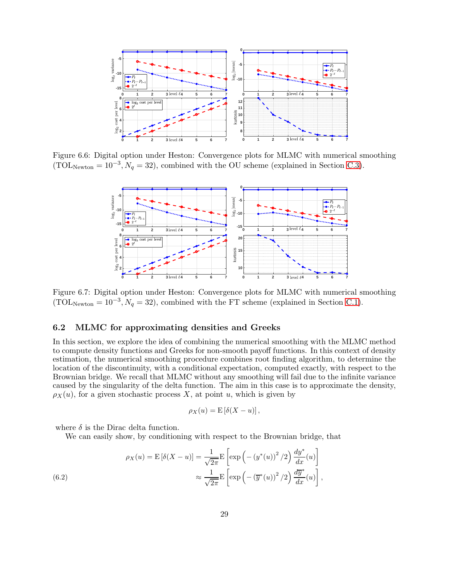<span id="page-28-1"></span>

<span id="page-28-2"></span>Figure 6.6: Digital option under Heston: Convergence plots for MLMC with numerical smoothing  $(TOL_{Newton} = 10^{-3}, N_q = 32)$ , combined with the OU scheme (explained in Section [C.3\)](#page-38-0).



Figure 6.7: Digital option under Heston: Convergence plots for MLMC with numerical smoothing  $(TOL_{Newton} = 10^{-3}, N_q = 32)$ , combined with the FT scheme (explained in Section [C.1\)](#page-37-2).

#### <span id="page-28-0"></span>6.2 MLMC for approximating densities and Greeks

In this section, we explore the idea of combining the numerical smoothing with the MLMC method to compute density functions and Greeks for non-smooth payoff functions. In this context of density estimation, the numerical smoothing procedure combines root finding algorithm, to determine the location of the discontinuity, with a conditional expectation, computed exactly, with respect to the Brownian bridge. We recall that MLMC without any smoothing will fail due to the infinite variance caused by the singularity of the delta function. The aim in this case is to approximate the density,  $\rho_X(u)$ , for a given stochastic process X, at point u, which is given by

$$
\rho_X(u) = \mathrm{E}\left[\delta(X - u)\right],
$$

where  $\delta$  is the Dirac delta function.

We can easily show, by conditioning with respect to the Brownian bridge, that

<span id="page-28-3"></span>(6.2) 
$$
\rho_X(u) = \mathcal{E}\left[\delta(X-u)\right] = \frac{1}{\sqrt{2\pi}} \mathcal{E}\left[\exp\left(-\left(y^*(u)\right)^2/2\right) \frac{dy^*}{dx}(u)\right] \approx \frac{1}{\sqrt{2\pi}} \mathcal{E}\left[\exp\left(-\left(\overline{y}^*(u)\right)^2/2\right) \frac{d\overline{y}^*}{dx}(u)\right],
$$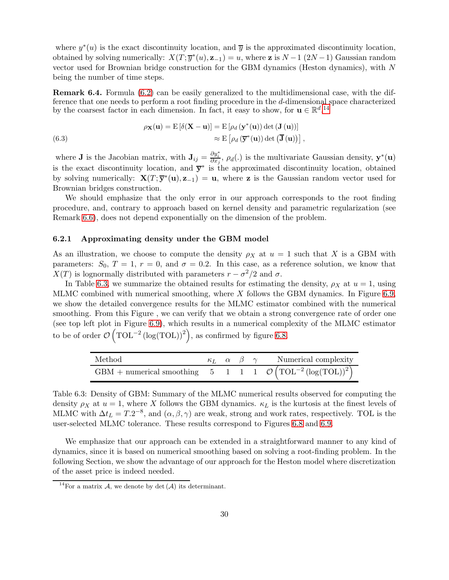where  $y^*(u)$  is the exact discontinuity location, and  $\overline{y}$  is the approximated discontinuity location, obtained by solving numerically:  $X(T; \overline{y}^*(u), \mathbf{z}_{-1}) = u$ , where  $\mathbf{z}$  is  $N-1$  (2N -1) Gaussian random vector used for Brownian bridge construction for the GBM dynamics (Heston dynamics), with N being the number of time steps.

<span id="page-29-0"></span>Remark 6.4. Formula [\(6.2\)](#page-28-3) can be easily generalized to the multidimensional case, with the difference that one needs to perform a root finding procedure in the d-dimensional space characterized by the coarsest factor in each dimension. In fact, it easy to show, for  $\mathbf{u} \in \mathbb{R}^d$ , <sup>[14](#page-29-1)</sup>,

(6.3) 
$$
\rho_{\mathbf{X}}(\mathbf{u}) = \mathbf{E} [\delta(\mathbf{X} - \mathbf{u})] = \mathbf{E} [\rho_d (\mathbf{y}^*(\mathbf{u})) \det (\mathbf{J} (\mathbf{u}))]
$$

$$
\approx \mathbf{E} [\rho_d (\overline{\mathbf{y}}^*(\mathbf{u})) \det (\overline{\mathbf{J}} (\mathbf{u}))],
$$

where **J** is the Jacobian matrix, with  $\mathbf{J}_{ij} = \frac{\partial y_i^*}{\partial x_j}$ ,  $\rho_d(.)$  is the multivariate Gaussian density,  $\mathbf{y}^*(\mathbf{u})$ is the exact discontinuity location, and  $\bar{y}^*$  is the approximated discontinuity location, obtained by solving numerically:  $\mathbf{X}(T;\overline{\mathbf{y}}^*(\mathbf{u}),\mathbf{z}_{-1}) = \mathbf{u}$ , where **z** is the Gaussian random vector used for Brownian bridges construction.

We should emphasize that the only error in our approach corresponds to the root finding procedure, and, contrary to approach based on kernel density and parametric regularization (see Remark [6.6\)](#page-31-0), does not depend exponentially on the dimension of the problem.

#### <span id="page-29-3"></span>6.2.1 Approximating density under the GBM model

As an illustration, we choose to compute the density  $\rho_X$  at  $u = 1$  such that X is a GBM with parameters:  $S_0$ ,  $T = 1$ ,  $r = 0$ , and  $\sigma = 0.2$ . In this case, as a reference solution, we know that  $X(T)$  is lognormally distributed with parameters  $r - \sigma^2/2$  and  $\sigma$ .

In Table [6.3,](#page-29-2) we summarize the obtained results for estimating the density,  $\rho_X$  at  $u = 1$ , using MLMC combined with numerical smoothing, where  $X$  follows the GBM dynamics. In Figure [6.9,](#page-30-0) we show the detailed convergence results for the MLMC estimator combined with the numerical smoothing. From this Figure , we can verify that we obtain a strong convergence rate of order one (see top left plot in Figure [6.9\)](#page-30-0), which results in a numerical complexity of the MLMC estimator to be of order  $\mathcal{O}(\text{TOL}^{-2}(\log(\text{TOL}))^2)$ , as confirmed by figure [6.8.](#page-30-1)

<span id="page-29-2"></span>

| Method                                                                        |  |  | $\kappa_L \alpha \beta \gamma$ Numerical complexity |
|-------------------------------------------------------------------------------|--|--|-----------------------------------------------------|
| GBM + numerical smoothing 5 1 1 1 $\mathcal{O}(\text{TOL}^{-2}(\log(TOL))^2)$ |  |  |                                                     |

Table 6.3: Density of GBM: Summary of the MLMC numerical results observed for computing the density  $\rho_X$  at  $u = 1$ , where X follows the GBM dynamics.  $\kappa_L$  is the kurtosis at the finest levels of MLMC with  $\Delta t_L = T.2^{-8}$ , and  $(\alpha, \beta, \gamma)$  are weak, strong and work rates, respectively. TOL is the user-selected MLMC tolerance. These results correspond to Figures [6.8](#page-30-1) and [6.9.](#page-30-0)

We emphasize that our approach can be extended in a straightforward manner to any kind of dynamics, since it is based on numerical smoothing based on solving a root-finding problem. In the following Section, we show the advantage of our approach for the Heston model where discretization of the asset price is indeed needed.

<span id="page-29-1"></span><sup>&</sup>lt;sup>14</sup>For a matrix A, we denote by det  $(A)$  its determinant.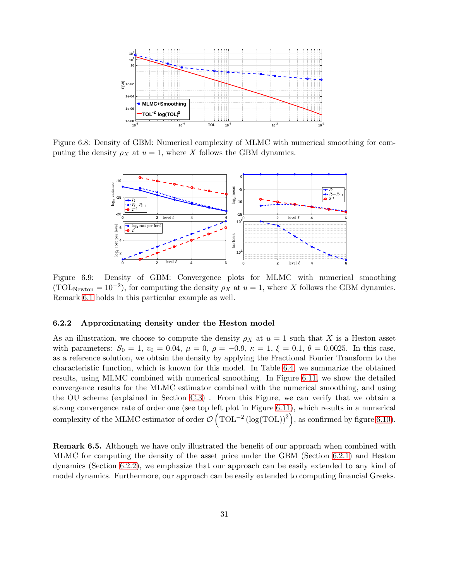<span id="page-30-1"></span>

<span id="page-30-0"></span>Figure 6.8: Density of GBM: Numerical complexity of MLMC with numerical smoothing for computing the density  $\rho_X$  at  $u = 1$ , where X follows the GBM dynamics.



Figure 6.9: Density of GBM: Convergence plots for MLMC with numerical smoothing (TOL<sub>Newton</sub> = 10<sup>-2</sup>), for computing the density  $\rho_X$  at  $u = 1$ , where X follows the GBM dynamics. Remark [6.1](#page-26-2) holds in this particular example as well.

#### <span id="page-30-2"></span>6.2.2 Approximating density under the Heston model

As an illustration, we choose to compute the density  $\rho_X$  at  $u = 1$  such that X is a Heston asset with parameters:  $S_0 = 1$ ,  $v_0 = 0.04$ ,  $\mu = 0$ ,  $\rho = -0.9$ ,  $\kappa = 1$ ,  $\xi = 0.1$ ,  $\theta = 0.0025$ . In this case, as a reference solution, we obtain the density by applying the Fractional Fourier Transform to the characteristic function, which is known for this model. In Table [6.4,](#page-31-1) we summarize the obtained results, using MLMC combined with numerical smoothing. In Figure [6.11,](#page-31-2) we show the detailed convergence results for the MLMC estimator combined with the numerical smoothing, and using the OU scheme (explained in Section [C.3\)](#page-38-0) . From this Figure, we can verify that we obtain a strong convergence rate of order one (see top left plot in Figure [6.11\)](#page-31-2), which results in a numerical complexity of the MLMC estimator of order  $\mathcal{O}(\text{TOL}^{-2}(\log(\text{TOL}))^2)$ , as confirmed by figure [6.10\)](#page-31-3).

Remark 6.5. Although we have only illustrated the benefit of our approach when combined with MLMC for computing the density of the asset price under the GBM (Section [6.2.1\)](#page-29-3) and Heston dynamics (Section [6.2.2\)](#page-30-2), we emphasize that our approach can be easily extended to any kind of model dynamics. Furthermore, our approach can be easily extended to computing financial Greeks.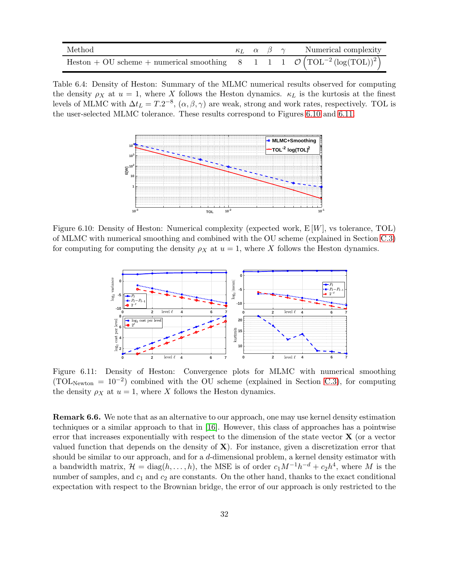<span id="page-31-1"></span>

| Method                                                                                                    |  |  | $\kappa_L$ $\alpha$ $\beta$ $\gamma$ Numerical complexity |
|-----------------------------------------------------------------------------------------------------------|--|--|-----------------------------------------------------------|
| Heston + OU scheme + numerical smoothing 8 1 1 0 $\left(\text{TOL}^{-2}\left(\log(TOL)\right)^{2}\right)$ |  |  |                                                           |

<span id="page-31-3"></span>Table 6.4: Density of Heston: Summary of the MLMC numerical results observed for computing the density  $\rho_X$  at  $u = 1$ , where X follows the Heston dynamics.  $\kappa_L$  is the kurtosis at the finest levels of MLMC with  $\Delta t_L = T.2^{-8}$ ,  $(\alpha, \beta, \gamma)$  are weak, strong and work rates, respectively. TOL is the user-selected MLMC tolerance. These results correspond to Figures [6.10](#page-31-3) and [6.11.](#page-31-2)



<span id="page-31-2"></span>Figure 6.10: Density of Heston: Numerical complexity (expected work,  $E[W]$ , vs tolerance, TOL) of MLMC with numerical smoothing and combined with the OU scheme (explained in Section [C.3\)](#page-38-0) for computing for computing the density  $\rho_X$  at  $u = 1$ , where X follows the Heston dynamics.



Figure 6.11: Density of Heston: Convergence plots for MLMC with numerical smoothing  $(TOL_{Newton} = 10^{-2})$  combined with the OU scheme (explained in Section [C.3\)](#page-38-0), for computing the density  $\rho_X$  at  $u = 1$ , where X follows the Heston dynamics.

<span id="page-31-0"></span>Remark 6.6. We note that as an alternative to our approach, one may use kernel density estimation techniques or a similar approach to that in [\[16\]](#page-33-6). However, this class of approaches has a pointwise error that increases exponentially with respect to the dimension of the state vector  $\bf{X}$  (or a vector valued function that depends on the density of  $X$ ). For instance, given a discretization error that should be similar to our approach, and for a d-dimensional problem, a kernel density estimator with a bandwidth matrix,  $\mathcal{H} = \text{diag}(h, \ldots, h)$ , the MSE is of order  $c_1 M^{-1} h^{-d} + c_2 h^4$ , where M is the number of samples, and  $c_1$  and  $c_2$  are constants. On the other hand, thanks to the exact conditional expectation with respect to the Brownian bridge, the error of our approach is only restricted to the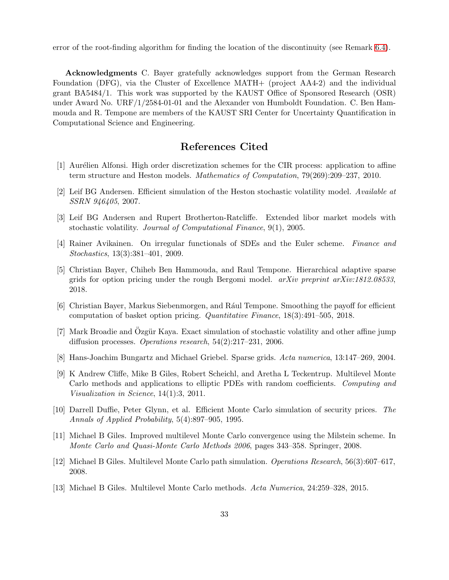error of the root-finding algorithm for finding the location of the discontinuity (see Remark [6.4\)](#page-29-0).

Acknowledgments C. Bayer gratefully acknowledges support from the German Research Foundation (DFG), via the Cluster of Excellence MATH+ (project AA4-2) and the individual grant BA5484/1. This work was supported by the KAUST Office of Sponsored Research (OSR) under Award No. URF/1/2584-01-01 and the Alexander von Humboldt Foundation. C. Ben Hammouda and R. Tempone are members of the KAUST SRI Center for Uncertainty Quantification in Computational Science and Engineering.

# References Cited

- <span id="page-32-11"></span><span id="page-32-10"></span>[1] Aurélien Alfonsi. High order discretization schemes for the CIR process: application to affine term structure and Heston models. Mathematics of Computation, 79(269):209–237, 2010.
- <span id="page-32-12"></span>[2] Leif BG Andersen. Efficient simulation of the Heston stochastic volatility model. Available at SSRN 946405, 2007.
- <span id="page-32-3"></span>[3] Leif BG Andersen and Rupert Brotherton-Ratcliffe. Extended libor market models with stochastic volatility. Journal of Computational Finance, 9(1), 2005.
- <span id="page-32-2"></span>[4] Rainer Avikainen. On irregular functionals of SDEs and the Euler scheme. Finance and Stochastics, 13(3):381–401, 2009.
- [5] Christian Bayer, Chiheb Ben Hammouda, and Raul Tempone. Hierarchical adaptive sparse grids for option pricing under the rough Bergomi model.  $arXiv$  preprint  $arXiv:1812.08533$ , 2018.
- <span id="page-32-1"></span>[6] Christian Bayer, Markus Siebenmorgen, and Rául Tempone. Smoothing the payoff for efficient computation of basket option pricing. Quantitative Finance, 18(3):491–505, 2018.
- <span id="page-32-9"></span>[7] Mark Broadie and Özgür Kaya. Exact simulation of stochastic volatility and other affine jump diffusion processes. Operations research, 54(2):217–231, 2006.
- <span id="page-32-8"></span><span id="page-32-0"></span>[8] Hans-Joachim Bungartz and Michael Griebel. Sparse grids. Acta numerica, 13:147–269, 2004.
- [9] K Andrew Cliffe, Mike B Giles, Robert Scheichl, and Aretha L Teckentrup. Multilevel Monte Carlo methods and applications to elliptic PDEs with random coefficients. Computing and Visualization in Science, 14(1):3, 2011.
- <span id="page-32-7"></span>[10] Darrell Duffie, Peter Glynn, et al. Efficient Monte Carlo simulation of security prices. The Annals of Applied Probability, 5(4):897–905, 1995.
- <span id="page-32-4"></span>[11] Michael B Giles. Improved multilevel Monte Carlo convergence using the Milstein scheme. In Monte Carlo and Quasi-Monte Carlo Methods 2006, pages 343–358. Springer, 2008.
- <span id="page-32-6"></span><span id="page-32-5"></span>[12] Michael B Giles. Multilevel Monte Carlo path simulation. Operations Research, 56(3):607–617, 2008.
- [13] Michael B Giles. Multilevel Monte Carlo methods. Acta Numerica, 24:259–328, 2015.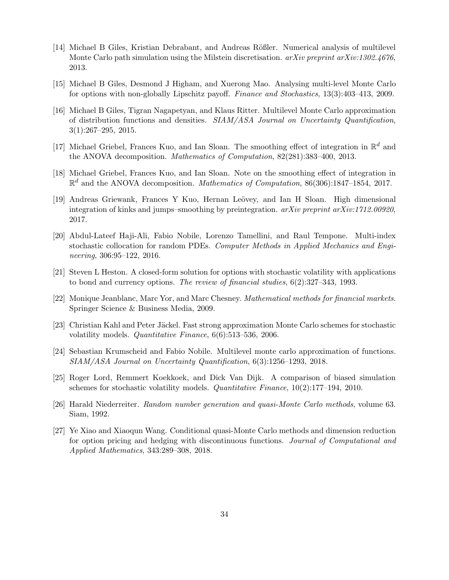- <span id="page-33-8"></span>[14] Michael B Giles, Kristian Debrabant, and Andreas Rößler. Numerical analysis of multilevel Monte Carlo path simulation using the Milstein discretisation.  $a\chi i\upsilon$  preprint  $a\chi i\upsilon$ :1302.4676, 2013.
- <span id="page-33-7"></span><span id="page-33-6"></span>[15] Michael B Giles, Desmond J Higham, and Xuerong Mao. Analysing multi-level Monte Carlo for options with non-globally Lipschitz payoff. Finance and Stochastics, 13(3):403–413, 2009.
- [16] Michael B Giles, Tigran Nagapetyan, and Klaus Ritter. Multilevel Monte Carlo approximation of distribution functions and densities. SIAM/ASA Journal on Uncertainty Quantification, 3(1):267–295, 2015.
- <span id="page-33-2"></span>[17] Michael Griebel, Frances Kuo, and Ian Sloan. The smoothing effect of integration in  $\mathbb{R}^d$  and the ANOVA decomposition. Mathematics of Computation, 82(281):383–400, 2013.
- <span id="page-33-3"></span>[18] Michael Griebel, Frances Kuo, and Ian Sloan. Note on the smoothing effect of integration in  $\mathbb{R}^d$  and the ANOVA decomposition. *Mathematics of Computation*, 86(306):1847–1854, 2017.
- <span id="page-33-4"></span>[19] Andreas Griewank, Frances Y Kuo, Hernan Leövey, and Ian H Sloan. High dimensional integration of kinks and jumps–smoothing by preintegration.  $arXiv$  preprint  $arXiv:1712.00920$ , 2017.
- <span id="page-33-0"></span>[20] Abdul-Lateef Haji-Ali, Fabio Nobile, Lorenzo Tamellini, and Raul Tempone. Multi-index stochastic collocation for random PDEs. Computer Methods in Applied Mechanics and Engineering, 306:95–122, 2016.
- <span id="page-33-10"></span>[21] Steven L Heston. A closed-form solution for options with stochastic volatility with applications to bond and currency options. The review of financial studies, 6(2):327–343, 1993.
- <span id="page-33-13"></span><span id="page-33-11"></span>[22] Monique Jeanblanc, Marc Yor, and Marc Chesney. Mathematical methods for financial markets. Springer Science & Business Media, 2009.
- [23] Christian Kahl and Peter Jäckel. Fast strong approximation Monte Carlo schemes for stochastic volatility models. Quantitative Finance, 6(6):513–536, 2006.
- <span id="page-33-9"></span>[24] Sebastian Krumscheid and Fabio Nobile. Multilevel monte carlo approximation of functions. SIAM/ASA Journal on Uncertainty Quantification, 6(3):1256–1293, 2018.
- <span id="page-33-12"></span><span id="page-33-1"></span>[25] Roger Lord, Remmert Koekkoek, and Dick Van Dijk. A comparison of biased simulation schemes for stochastic volatility models. Quantitative Finance, 10(2):177–194, 2010.
- <span id="page-33-5"></span>[26] Harald Niederreiter. Random number generation and quasi-Monte Carlo methods, volume 63. Siam, 1992.
- [27] Ye Xiao and Xiaoqun Wang. Conditional quasi-Monte Carlo methods and dimension reduction for option pricing and hedging with discontinuous functions. Journal of Computational and Applied Mathematics, 343:289–308, 2018.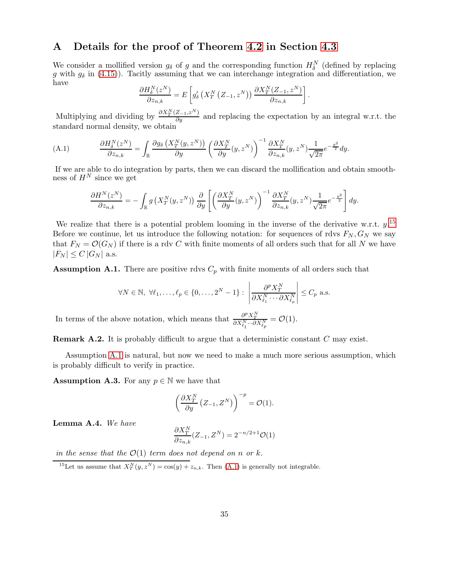# A Details for the proof of Theorem [4.2](#page-16-0) in Section [4.3](#page-14-0)

We consider a mollified version  $g_{\delta}$  of g and the corresponding function  $H_{\delta}^N$  (defined by replacing g with  $g_{\delta}$  in [\(4.15\)](#page-16-2)). Tacitly assuming that we can interchange integration and differentiation, we have

$$
\frac{\partial H_{\delta}^{N}(z^{N})}{\partial z_{n,k}} = E\left[g'_{\delta}\left(X_{T}^{N}\left(Z_{-1}, z^{N}\right)\right) \frac{\partial X_{T}^{N}(Z_{-1}, z^{N})}{\partial z_{n,k}}\right]
$$

.

Multiplying and dividing by  $\frac{\partial X_T^N(Z_{-1}, z^N)}{\partial y}$  and replacing the expectation by an integral w.r.t. the standard normal density, we obtain

(A.1) 
$$
\frac{\partial H^N_\delta(z^N)}{\partial z_{n,k}} = \int_{\mathbb{R}} \frac{\partial g_\delta\left(X^N_T(y,z^N)\right)}{\partial y} \left(\frac{\partial X^N_T}{\partial y}(y,z^N)\right)^{-1} \frac{\partial X^N_T}{\partial z_{n,k}}(y,z^N) \frac{1}{\sqrt{2\pi}} e^{-\frac{y^2}{2}} dy.
$$

If we are able to do integration by parts, then we can discard the mollification and obtain smoothness of  $H^N$  since we get

<span id="page-34-3"></span>
$$
\frac{\partial H^N(z^N)}{\partial z_{n,k}} = -\int_{\mathbb{R}} g\left(X_T^N(y, z^N)\right) \frac{\partial}{\partial y} \left[ \left(\frac{\partial X_T^N}{\partial y}(y, z^N)\right)^{-1} \frac{\partial X_T^N}{\partial z_{n,k}}(y, z^N) \frac{1}{\sqrt{2\pi}} e^{-\frac{y^2}{2}} \right] dy.
$$

We realize that there is a potential problem looming in the inverse of the derivative w.r.t.  $y$ .<sup>[15](#page-34-2)</sup> Before we continue, let us introduce the following notation: for sequences of rdvs  $F_N$ ,  $G_N$  we say that  $F_N = \mathcal{O}(G_N)$  if there is a rdv C with finite moments of all orders such that for all N we have  $|F_N| \leq C |G_N|$  a.s.

<span id="page-34-0"></span>**Assumption A.1.** There are positive rdvs  $C_p$  with finite moments of all orders such that

$$
\forall N \in \mathbb{N}, \ \forall \ell_1, \dots, \ell_p \in \{0, \dots, 2^N - 1\}: \ \left| \frac{\partial^p X_T^N}{\partial X_{\ell_1}^N \cdots \partial X_{\ell_p}^N} \right| \leq C_p \ \text{a.s.}
$$

In terms of the above notation, which means that  $\frac{\partial^p X^N_T}{\partial X^N_{\ell_1}\cdots \partial X^N_{\ell_p}} = \mathcal{O}(1)$ .

Remark A.2. It is probably difficult to argue that a deterministic constant C may exist.

Assumption [A.1](#page-34-0) is natural, but now we need to make a much more serious assumption, which is probably difficult to verify in practice.

<span id="page-34-1"></span>**Assumption A.3.** For any  $p \in \mathbb{N}$  we have that

$$
\left(\frac{\partial X_T^N}{\partial y} \left(Z_{-1}, Z^N\right)\right)^{-p} = \mathcal{O}(1).
$$

<span id="page-34-4"></span>Lemma A.4. We have

$$
\frac{\partial X_T^N}{\partial z_{n,k}}(Z_{-1},Z^N) = 2^{-n/2+1}\mathcal{O}(1)
$$

in the sense that the  $\mathcal{O}(1)$  term does not depend on n or k.

<span id="page-34-2"></span><sup>15</sup>Let us assume that  $X_T^N(y, z^N) = \cos(y) + z_{n,k}$ . Then [\(A.1\)](#page-34-3) is generally not integrable.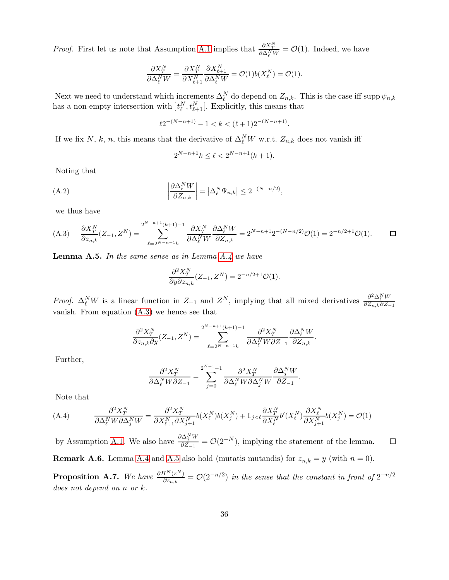*Proof.* First let us note that Assumption [A.1](#page-34-0) implies that  $\frac{\partial X_T^N}{\partial \Delta_t^N W} = \mathcal{O}(1)$ . Indeed, we have

$$
\frac{\partial X_T^N}{\partial \Delta_\ell^N W} = \frac{\partial X_T^N}{\partial X_{\ell+1}^N} \frac{\partial X_{\ell+1}^N}{\partial \Delta_\ell^N W} = \mathcal{O}(1) b(X_\ell^N) = \mathcal{O}(1).
$$

Next we need to understand which increments  $\Delta_{\ell}^{N}$  do depend on  $Z_{n,k}$ . This is the case iff supp  $\psi_{n,k}$ has a non-empty intersection with  $]t^N_{\ell}, t^N_{\ell+1}[$ . Explicitly, this means that

$$
\ell 2^{-(N-n+1)} - 1 < k < (\ell+1)2^{-(N-n+1)}
$$

.

If we fix N, k, n, this means that the derivative of  $\Delta_{\ell}^N W$  w.r.t.  $Z_{n,k}$  does not vanish iff

<span id="page-35-4"></span>
$$
2^{N-n+1}k \le \ell < 2^{N-n+1}(k+1).
$$

Noting that

(A.2) 
$$
\left| \frac{\partial \Delta_{\ell}^{N} W}{\partial Z_{n,k}} \right| = \left| \Delta_{\ell}^{N} \Psi_{n,k} \right| \leq 2^{-(N-n/2)},
$$

we thus have

<span id="page-35-1"></span>
$$
(A.3) \quad \frac{\partial X_T^N}{\partial z_{n,k}}(Z_{-1}, Z^N) = \sum_{\ell=2^{N-n+1}k}^{2^{N-n+1}(k+1)-1} \frac{\partial X_T^N}{\partial \Delta_\ell^N W} \frac{\partial \Delta_\ell^N W}{\partial Z_{n,k}} = 2^{N-n+1} 2^{-(N-n/2)} \mathcal{O}(1) = 2^{-n/2+1} \mathcal{O}(1). \qquad \Box
$$

<span id="page-35-2"></span>**Lemma A.5.** In the same sense as in Lemma  $A.4$  we have

$$
\frac{\partial^2 X_T^N}{\partial y \partial z_{n,k}}(Z_{-1}, Z^N) = 2^{-n/2+1} \mathcal{O}(1).
$$

*Proof.*  $\Delta_{\ell}^N W$  is a linear function in  $Z_{-1}$  and  $Z^N$ , implying that all mixed derivatives  $\frac{\partial^2 \Delta_{\ell}^N W}{\partial Z_{n,k} \partial Z_{-1}}$  $\partial Z_{n,k}\partial Z_{-1}$ vanish. From equation [\(A.3\)](#page-35-1) we hence see that

$$
\frac{\partial^2 X_T^N}{\partial z_{n,k} \partial y}(Z_{-1}, Z^N) = \sum_{\ell=2^{N-n+1}k}^{2^{N-n+1}(k+1)-1} \frac{\partial^2 X_T^N}{\partial \Delta_\ell^N W \partial Z_{-1}} \frac{\partial \Delta_\ell^N W}{\partial Z_{n,k}}.
$$

Further,

$$
\frac{\partial^2 X_T^N}{\partial \Delta_\ell^N W \partial Z_{-1}} = \sum_{j=0}^{2^{N+1}-1} \frac{\partial^2 X_T^N}{\partial \Delta_\ell^N W \partial \Delta_j^N W} \frac{\partial \Delta_j^N W}{\partial Z_{-1}}.
$$

Note that

<span id="page-35-3"></span>
$$
(A.4) \qquad \frac{\partial^2 X_T^N}{\partial \Delta_\ell^N W \partial \Delta_j^N W} = \frac{\partial^2 X_T^N}{\partial X_{\ell+1}^N \partial X_{j+1}^N} b(X_\ell^N) b(X_j^N) + 1_{j < \ell} \frac{\partial X_T^N}{\partial X_\ell^N} b'(X_\ell^N) \frac{\partial X_\ell^N}{\partial X_{j+1}^N} b(X_j^N) = \mathcal{O}(1)
$$

by Assumption [A.1.](#page-34-0) We also have  $\frac{\partial \Delta_j^N W}{\partial Z}$  $\frac{\partial \Delta_j}{\partial Z_{-1}} = \mathcal{O}(2^{-N}),$  implying the statement of the lemma.  $\Box$ 

**Remark A.6.** Lemma [A.4](#page-34-4) and [A.5](#page-35-2) also hold (mutatis mutandis) for  $z_{n,k} = y$  (with  $n = 0$ ).

<span id="page-35-0"></span>**Proposition A.7.** We have  $\frac{\partial H^N(z^N)}{\partial z_{n,k}} = O(2^{-n/2})$  in the sense that the constant in front of  $2^{-n/2}$ does not depend on n or k.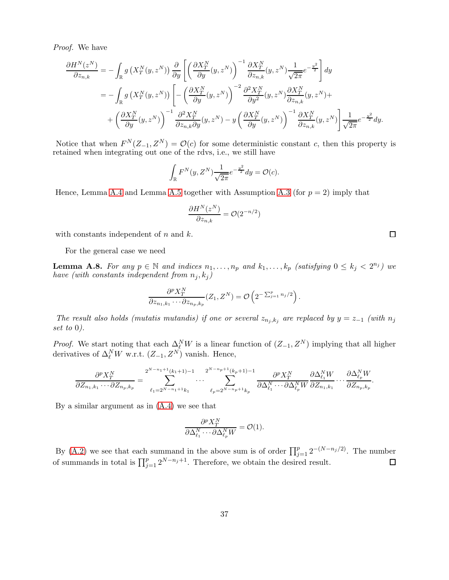Proof. We have

$$
\frac{\partial H^{N}(z^{N})}{\partial z_{n,k}} = -\int_{\mathbb{R}} g\left(X_{T}^{N}(y,z^{N})\right) \frac{\partial}{\partial y} \left[ \left(\frac{\partial X_{T}^{N}}{\partial y}(y,z^{N})\right)^{-1} \frac{\partial X_{T}^{N}}{\partial z_{n,k}}(y,z^{N}) \frac{1}{\sqrt{2\pi}} e^{-\frac{y^{2}}{2}} \right] dy \n= -\int_{\mathbb{R}} g\left(X_{T}^{N}(y,z^{N})\right) \left[ -\left(\frac{\partial X_{T}^{N}}{\partial y}(y,z^{N})\right)^{-2} \frac{\partial^{2} X_{T}^{N}}{\partial y^{2}}(y,z^{N}) \frac{\partial X_{T}^{N}}{\partial z_{n,k}}(y,z^{N}) + \left(\frac{\partial X_{T}^{N}}{\partial y}(y,z^{N})\right)^{-1} \frac{\partial^{2} X_{T}^{N}}{\partial z_{n,k}\partial y}(y,z^{N}) - y\left(\frac{\partial X_{T}^{N}}{\partial y}(y,z^{N})\right)^{-1} \frac{\partial X_{T}^{N}}{\partial z_{n,k}}(y,z^{N}) \right] \frac{1}{\sqrt{2\pi}} e^{-\frac{y^{2}}{2}} dy.
$$

Notice that when  $F^{N}(Z_{-1}, Z^{N}) = \mathcal{O}(c)$  for some deterministic constant c, then this property is retained when integrating out one of the rdvs, i.e., we still have

$$
\int_{\mathbb{R}} F^N(y, Z^N) \frac{1}{\sqrt{2\pi}} e^{-\frac{y^2}{2}} dy = \mathcal{O}(c).
$$

Hence, Lemma [A.4](#page-34-4) and Lemma [A.5](#page-35-2) together with Assumption [A.3](#page-34-1) (for  $p = 2$ ) imply that

$$
\frac{\partial H^N(z^N)}{\partial z_{n,k}} = \mathcal{O}(2^{-n/2})
$$

with constants independent of  $n$  and  $k$ .

For the general case we need

<span id="page-36-0"></span>**Lemma A.8.** For any  $p \in \mathbb{N}$  and indices  $n_1, \ldots, n_p$  and  $k_1, \ldots, k_p$  (satisfying  $0 \leq k_j < 2^{n_j}$ ) we have (with constants independent from  $n_j, k_j$ )

$$
\frac{\partial^p X_T^N}{\partial z_{n_1,k_1}\cdots\partial z_{n_p,k_p}}(Z_1,Z^N)=\mathcal{O}\left(2^{-\sum_{j=1}^p n_j/2}\right).
$$

The result also holds (mutatis mutandis) if one or several  $z_{n_j,k_j}$  are replaced by  $y = z_{-1}$  (with  $n_j$ set to 0).

*Proof.* We start noting that each  $\Delta_N^N W$  is a linear function of  $(Z_{-1}, Z^N)$  implying that all higher derivatives of  $\Delta_{\ell}^N W$  w.r.t.  $(Z_{-1}, Z^N)$  vanish. Hence,

$$
\frac{\partial^p X_T^N}{\partial Z_{n_1,k_1}\cdots \partial Z_{n_p,k_p}} = \sum_{\ell_1=2^{N-n_1+1}k_1}^{2^{N-n_1+1}(k_1+1)-1} \cdots \sum_{\ell_p=2^{N-n_p+1}k_p}^{2^{N-n_p+1}(k_p+1)-1} \frac{\partial^p X_T^N}{\partial \Delta_{\ell_1}^N \cdots \partial \Delta_{\ell_p}^N W} \frac{\partial \Delta_{\ell_1}^N W}{\partial Z_{n_1,k_1}} \cdots \frac{\partial \Delta_{\ell_p}^N W}{\partial Z_{n_p,k_p}}.
$$

By a similar argument as in [\(A.4\)](#page-35-3) we see that

$$
\frac{\partial^p X_T^N}{\partial \Delta_{\ell_1}^N \cdots \partial \Delta_{\ell_p}^N W} = \mathcal{O}(1).
$$

By [\(A.2\)](#page-35-4) we see that each summand in the above sum is of order  $\prod_{j=1}^{p} 2^{-(N-n_j/2)}$ . The number of summands in total is  $\prod_{j=1}^{p} 2^{N-n_j+1}$ . Therefore, we obtain the desired result.

 $\Box$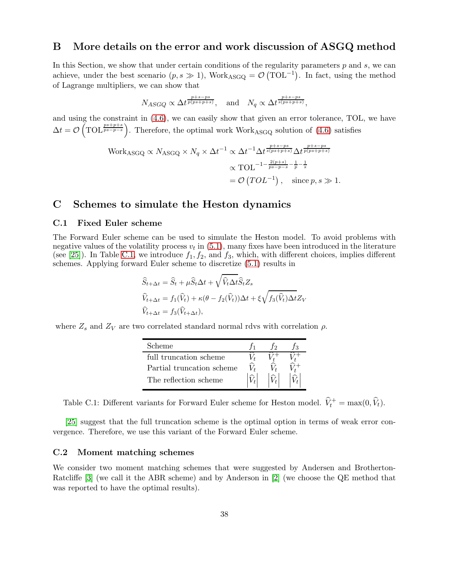# <span id="page-37-0"></span>B More details on the error and work discussion of ASGQ method

In this Section, we show that under certain conditions of the regularity parameters  $p$  and  $s$ , we can achieve, under the best scenario  $(p, s \gg 1)$ , Work<sub>ASGQ</sub> =  $\mathcal{O}(\text{TOL}^{-1})$ . In fact, using the method of Lagrange multipliers, we can show that

$$
N_{ASGQ} \propto \Delta t^{\frac{p+s-ps}{p(ps+p+s)}},
$$
 and  $N_q \propto \Delta t^{\frac{p+s-ps}{s(ps+p+s)}},$ 

and using the constraint in [\(4.6\)](#page-13-2), we can easily show that given an error tolerance, TOL, we have  $\Delta t = \mathcal{O}\left(\text{TOL}^{\frac{ps+ps}{ps-p-s}}\right)$ . Therefore, the optimal work Work<sub>ASGQ</sub> solution of [\(4.6\)](#page-13-2) satisfies

Work<sub>ASGQ</sub> 
$$
\propto N_{ASGQ} \times N_q \times \Delta t^{-1} \propto \Delta t^{-1} \Delta t^{\frac{p+s-ps}{s(ps+p+s)}} \Delta t^{\frac{p+s-ps}{p(ps+p+s)}}
$$
  

$$
\propto \text{TOL}^{-1-\frac{2(p+s)}{ps-p-s}-\frac{1}{p}-\frac{1}{s}}
$$

$$
= \mathcal{O}(TOL^{-1}), \text{ since } p, s \gg 1.
$$

# <span id="page-37-2"></span><span id="page-37-1"></span>C Schemes to simulate the Heston dynamics

## C.1 Fixed Euler scheme

The Forward Euler scheme can be used to simulate the Heston model. To avoid problems with negative values of the volatility process  $v_t$  in  $(5.1)$ , many fixes have been introduced in the literature (see [\[25\]](#page-33-12)). In Table [C.1,](#page-37-3) we introduce  $f_1, f_2$ , and  $f_3$ , which, with different choices, implies different schemes. Applying forward Euler scheme to discretize [\(5.1\)](#page-21-1) results in

$$
\widehat{S}_{t+\Delta t} = \widehat{S}_t + \mu \widehat{S}_t \Delta t + \sqrt{\widehat{V}_t \Delta t} \widehat{S}_t Z_s
$$
  

$$
\widehat{V}_{t+\Delta t} = f_1(\widehat{V}_t) + \kappa (\theta - f_2(\widehat{V}_t)) \Delta t + \xi \sqrt{f_3(\widehat{V}_t) \Delta t} Z_V
$$
  

$$
\widehat{V}_{t+\Delta t} = f_3(\widehat{V}_{t+\Delta t}),
$$

<span id="page-37-3"></span>where  $Z_s$  and  $Z_V$  are two correlated standard normal rdvs with correlation  $\rho$ .

| Scheme                    |  |  |
|---------------------------|--|--|
| full truncation scheme    |  |  |
| Partial truncation scheme |  |  |
| The reflection scheme     |  |  |

Table C.1: Different variants for Forward Euler scheme for Heston model.  $\hat{V}_t^+ = \max(0, \hat{V}_t)$ .

[\[25\]](#page-33-12) suggest that the full truncation scheme is the optimal option in terms of weak error convergence. Therefore, we use this variant of the Forward Euler scheme.

### <span id="page-37-4"></span>C.2 Moment matching schemes

We consider two moment matching schemes that were suggested by Andersen and Brotherton-Ratcliffe [\[3\]](#page-32-12) (we call it the ABR scheme) and by Anderson in [\[2\]](#page-32-10) (we choose the QE method that was reported to have the optimal results).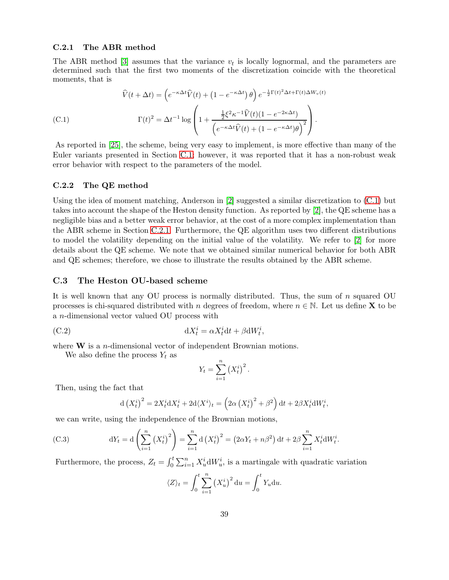#### <span id="page-38-2"></span>C.2.1 The ABR method

The ABR method [\[3\]](#page-32-12) assumes that the variance  $v_t$  is locally lognormal, and the parameters are determined such that the first two moments of the discretization coincide with the theoretical moments, that is

<span id="page-38-1"></span>
$$
\hat{V}(t + \Delta t) = \left(e^{-\kappa \Delta t} \hat{V}(t) + \left(1 - e^{-\kappa \Delta t}\right) \theta\right) e^{-\frac{1}{2} \Gamma(t)^2 \Delta t + \Gamma(t) \Delta W_v(t)}
$$
\n(C.1)\n
$$
\Gamma(t)^2 = \Delta t^{-1} \log \left(1 + \frac{\frac{1}{2} \xi^2 \kappa^{-1} \hat{V}(t) (1 - e^{-2\kappa \Delta t})}{\left(e^{-\kappa \Delta t} \hat{V}(t) + (1 - e^{-\kappa \Delta t}) \theta\right)^2}\right).
$$

As reported in [\[25\]](#page-33-12), the scheme, being very easy to implement, is more effective than many of the Euler variants presented in Section [C.1;](#page-37-2) however, it was reported that it has a non-robust weak error behavior with respect to the parameters of the model.

#### C.2.2 The QE method

Using the idea of moment matching, Anderson in [\[2\]](#page-32-10) suggested a similar discretization to [\(C.1\)](#page-38-1) but takes into account the shape of the Heston density function. As reported by [\[2\]](#page-32-10), the QE scheme has a negligible bias and a better weak error behavior, at the cost of a more complex implementation than the ABR scheme in Section [C.2.1.](#page-38-2) Furthermore, the QE algorithm uses two different distributions to model the volatility depending on the initial value of the volatility. We refer to [\[2\]](#page-32-10) for more details about the QE scheme. We note that we obtained similar numerical behavior for both ABR and QE schemes; therefore, we chose to illustrate the results obtained by the ABR scheme.

#### <span id="page-38-0"></span>C.3 The Heston OU-based scheme

It is well known that any OU process is normally distributed. Thus, the sum of n squared OU processes is chi-squared distributed with n degrees of freedom, where  $n \in \mathbb{N}$ . Let us define **X** to be a n-dimensional vector valued OU process with

(C.2) 
$$
dX_t^i = \alpha X_t^i dt + \beta dW_t^i,
$$

where  $W$  is a *n*-dimensional vector of independent Brownian motions.

We also define the process  $Y_t$  as

<span id="page-38-3"></span>
$$
Y_t = \sum_{i=1}^n (X_t^i)^2.
$$

Then, using the fact that

<span id="page-38-4"></span>
$$
d(X_t^i)^2 = 2X_t^i dX_t^i + 2d\langle X^i \rangle_t = \left(2\alpha \left(X_t^i\right)^2 + \beta^2\right) dt + 2\beta X_t^i dW_t^i,
$$

we can write, using the independence of the Brownian motions,

(C.3) 
$$
dY_t = d\left(\sum_{i=1}^n (X_t^i)^2\right) = \sum_{i=1}^n d\left(X_t^i\right)^2 = \left(2\alpha Y_t + n\beta^2\right) dt + 2\beta \sum_{i=1}^n X_t^i dW_t^i.
$$

Furthermore, the process,  $Z_t = \int_0^t \sum_{i=1}^n X_u^i dW_u^i$ , is a martingale with quadratic variation

$$
\langle Z \rangle_t = \int_0^t \sum_{i=1}^n (X_u^i)^2 du = \int_0^t Y_u du.
$$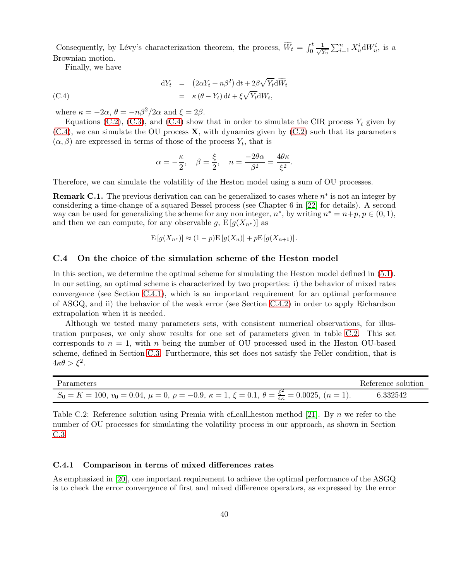Consequently, by Lévy's characterization theorem, the process,  $\widetilde{W}_t = \int_0^t \frac{1}{\sqrt{2}}$  $\frac{1}{Y_u} \sum_{i=1}^n X_u^i dW_u^i$ , is a Brownian motion.

Finally, we have

(C.4)  
\n
$$
dY_t = (2\alpha Y_t + n\beta^2) dt + 2\beta \sqrt{Y_t} d\widetilde{W}_t
$$
\n
$$
= \kappa (\theta - Y_t) dt + \xi \sqrt{Y_t} dW_t,
$$

where  $\kappa = -2\alpha$ ,  $\theta = -n\beta^2/2\alpha$  and  $\xi = 2\beta$ .

Equations [\(C.2\)](#page-38-3), [\(C.3\)](#page-38-4), and [\(C.4\)](#page-39-2) show that in order to simulate the CIR process  $Y_t$  given by  $(C.4)$ , we can simulate the OU process **X**, with dynamics given by  $(C.2)$  such that its parameters  $(\alpha, \beta)$  are expressed in terms of those of the process  $Y_t$ , that is

<span id="page-39-2"></span>
$$
\alpha = -\frac{\kappa}{2}, \quad \beta = \frac{\xi}{2}, \quad n = \frac{-2\theta\alpha}{\beta^2} = \frac{4\theta\kappa}{\xi^2}.
$$

Therefore, we can simulate the volatility of the Heston model using a sum of OU processes.

**Remark C.1.** The previous derivation can can be generalized to cases where  $n^*$  is not an integer by considering a time-change of a squared Bessel process (see Chapter 6 in [\[22\]](#page-33-13) for details). A second way can be used for generalizing the scheme for any non integer,  $n^*$ , by writing  $n^* = n+p$ ,  $p \in (0,1)$ , and then we can compute, for any observable g,  $E[g(X_{n^*})]$  as

$$
E[g(X_{n^*})] \approx (1-p)E[g(X_n)] + pE[g(X_{n+1})].
$$

#### <span id="page-39-0"></span>C.4 On the choice of the simulation scheme of the Heston model

In this section, we determine the optimal scheme for simulating the Heston model defined in [\(5.1\)](#page-21-1). In our setting, an optimal scheme is characterized by two properties: i) the behavior of mixed rates convergence (see Section [C.4.1\)](#page-39-1), which is an important requirement for an optimal performance of ASGQ, and ii) the behavior of the weak error (see Section [C.4.2\)](#page-40-0) in order to apply Richardson extrapolation when it is needed.

Although we tested many parameters sets, with consistent numerical observations, for illustration purposes, we only show results for one set of parameters given in table [C.2.](#page-39-3) This set corresponds to  $n = 1$ , with n being the number of OU processed used in the Heston OU-based scheme, defined in Section [C.3.](#page-38-0) Furthermore, this set does not satisfy the Feller condition, that is  $4\kappa\theta > \xi^2$ .

<span id="page-39-3"></span>

| Parameters                                                                                                                  | Reference solution |
|-----------------------------------------------------------------------------------------------------------------------------|--------------------|
| $S_0 = K = 100, v_0 = 0.04, \mu = 0, \rho = -0.9, \kappa = 1, \xi = 0.1, \theta = \frac{\xi^2}{4\kappa} = 0.0025, (n = 1).$ | 6.332542           |

Table C.2: Reference solution using Premia with cf-call heston method [\[21\]](#page-33-10). By n we refer to the number of OU processes for simulating the volatility process in our approach, as shown in Section [C.3](#page-38-0)

#### <span id="page-39-1"></span>C.4.1 Comparison in terms of mixed differences rates

As emphasized in [\[20\]](#page-33-0), one important requirement to achieve the optimal performance of the ASGQ is to check the error convergence of first and mixed difference operators, as expressed by the error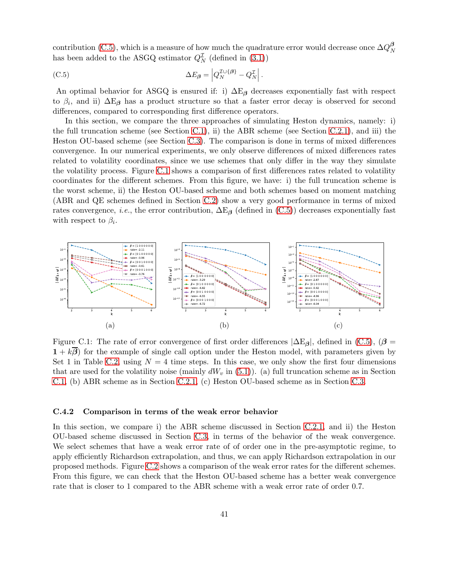contribution [\(C.5\)](#page-40-1), which is a measure of how much the quadrature error would decrease once  $\Delta Q^{\beta}_{N}$ N has been added to the ASGQ estimator  $Q_N^L$  (defined in [\(3.1\)](#page-9-2))

<span id="page-40-1"></span>(C.5) 
$$
\Delta E_{\beta} = \left| Q_N^{\mathcal{I} \cup \{\beta\}} - Q_N^{\mathcal{I}} \right|.
$$

An optimal behavior for ASGQ is ensured if: i)  $\Delta E_\beta$  decreases exponentially fast with respect to  $\beta_i$ , and ii)  $\Delta E_\beta$  has a product structure so that a faster error decay is observed for second differences, compared to corresponding first difference operators.

In this section, we compare the three approaches of simulating Heston dynamics, namely: i) the full truncation scheme (see Section [C.1\)](#page-37-2), ii) the ABR scheme (see Section [C.2.1\)](#page-38-2), and iii) the Heston OU-based scheme (see Section [C.3\)](#page-38-0). The comparison is done in terms of mixed differences convergence. In our numerical experiments, we only observe differences of mixed differences rates related to volatility coordinates, since we use schemes that only differ in the way they simulate the volatility process. Figure [C.1](#page-40-2) shows a comparison of first differences rates related to volatility coordinates for the different schemes. From this figure, we have: i) the full truncation scheme is the worst scheme, ii) the Heston OU-based scheme and both schemes based on moment matching (ABR and QE schemes defined in Section [C.2\)](#page-37-4) show a very good performance in terms of mixed rates convergence, *i.e.*, the error contribution,  $\Delta E_B$  (defined in [\(C.5\)](#page-40-1)) decreases exponentially fast with respect to  $\beta_i$ .

<span id="page-40-2"></span>

Figure C.1: The rate of error convergence of first order differences  $|\Delta E_{\beta}|$ , defined in [\(C.5\)](#page-40-1), ( $\beta$  =  $1 + k\overline{\beta}$  for the example of single call option under the Heston model, with parameters given by Set 1 in Table [C.2,](#page-39-3) using  $N = 4$  time steps. In this case, we only show the first four dimensions that are used for the volatility noise (mainly  $dW_v$  in [\(5.1\)](#page-21-1)). (a) full truncation scheme as in Section [C.1,](#page-37-2) (b) ABR scheme as in Section [C.2.1,](#page-38-2) (c) Heston OU-based scheme as in Section [C.3.](#page-38-0)

#### <span id="page-40-0"></span>C.4.2 Comparison in terms of the weak error behavior

In this section, we compare i) the ABR scheme discussed in Section [C.2.1,](#page-38-2) and ii) the Heston OU-based scheme discussed in Section [C.3,](#page-38-0) in terms of the behavior of the weak convergence. We select schemes that have a weak error rate of of order one in the pre-asymptotic regime, to apply efficiently Richardson extrapolation, and thus, we can apply Richardson extrapolation in our proposed methods. Figure [C.2](#page-41-0) shows a comparison of the weak error rates for the different schemes. From this figure, we can check that the Heston OU-based scheme has a better weak convergence rate that is closer to 1 compared to the ABR scheme with a weak error rate of order 0.7.